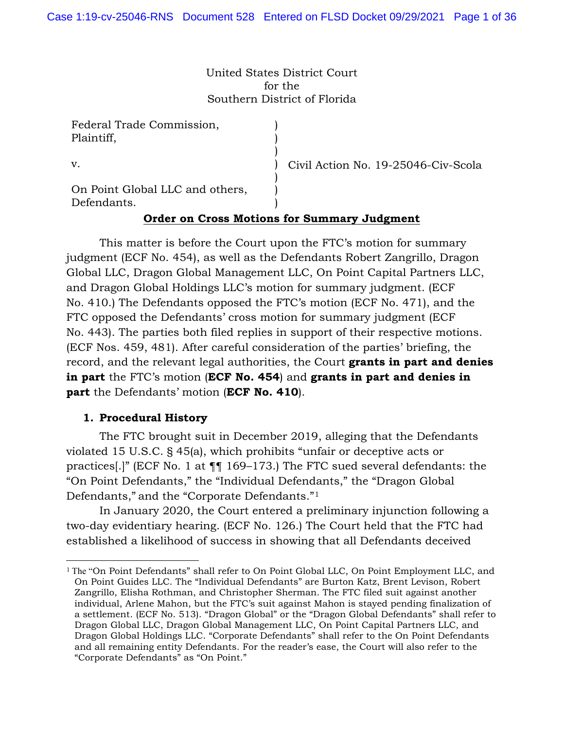United States District Court for the Southern District of Florida

> ) ) ) ) ) )

Federal Trade Commission, Plaintiff,

v.

Civil Action No. 19-25046-Civ-Scola

On Point Global LLC and others, Defendants.

# ) **Order on Cross Motions for Summary Judgment**

This matter is before the Court upon the FTC's motion for summary judgment (ECF No. 454), as well as the Defendants Robert Zangrillo, Dragon Global LLC, Dragon Global Management LLC, On Point Capital Partners LLC, and Dragon Global Holdings LLC's motion for summary judgment. (ECF No. 410.) The Defendants opposed the FTC's motion (ECF No. 471), and the FTC opposed the Defendants' cross motion for summary judgment (ECF No. 443). The parties both filed replies in support of their respective motions. (ECF Nos. 459, 481). After careful consideration of the parties' briefing, the record, and the relevant legal authorities, the Court **grants in part and denies in part** the FTC's motion (**ECF No. 454**) and **grants in part and denies in part** the Defendants' motion (**ECF No. 410**).

### **1. Procedural History**

The FTC brought suit in December 2019, alleging that the Defendants violated 15 U.S.C. § 45(a), which prohibits "unfair or deceptive acts or practices[.]" (ECF No. 1 at ¶¶ 169–173.) The FTC sued several defendants: the "On Point Defendants," the "Individual Defendants," the "Dragon Global Defendants," and the "Corporate Defendants."1

In January 2020, the Court entered a preliminary injunction following a two-day evidentiary hearing. (ECF No. 126.) The Court held that the FTC had established a likelihood of success in showing that all Defendants deceived

<sup>1</sup> The "On Point Defendants" shall refer to On Point Global LLC, On Point Employment LLC, and On Point Guides LLC. The "Individual Defendants" are Burton Katz, Brent Levison, Robert Zangrillo, Elisha Rothman, and Christopher Sherman. The FTC filed suit against another individual, Arlene Mahon, but the FTC's suit against Mahon is stayed pending finalization of a settlement. (ECF No. 513). "Dragon Global" or the "Dragon Global Defendants" shall refer to Dragon Global LLC, Dragon Global Management LLC, On Point Capital Partners LLC, and Dragon Global Holdings LLC. "Corporate Defendants" shall refer to the On Point Defendants and all remaining entity Defendants. For the reader's ease, the Court will also refer to the "Corporate Defendants" as "On Point."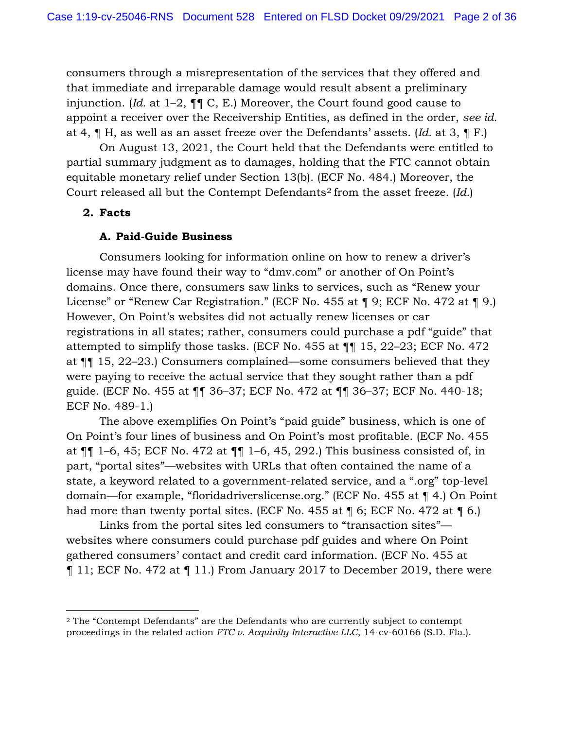consumers through a misrepresentation of the services that they offered and that immediate and irreparable damage would result absent a preliminary injunction. (*Id.* at 1–2, ¶¶ C, E.) Moreover, the Court found good cause to appoint a receiver over the Receivership Entities, as defined in the order, *see id.* at 4, ¶ H, as well as an asset freeze over the Defendants' assets. (*Id.* at 3, ¶ F.)

On August 13, 2021, the Court held that the Defendants were entitled to partial summary judgment as to damages, holding that the FTC cannot obtain equitable monetary relief under Section 13(b). (ECF No. 484.) Moreover, the Court released all but the Contempt Defendants2 from the asset freeze. (*Id.*)

## **2. Facts**

## **A. Paid-Guide Business**

Consumers looking for information online on how to renew a driver's license may have found their way to "dmv.com" or another of On Point's domains. Once there, consumers saw links to services, such as "Renew your License" or "Renew Car Registration." (ECF No. 455 at ¶ 9; ECF No. 472 at ¶ 9.) However, On Point's websites did not actually renew licenses or car registrations in all states; rather, consumers could purchase a pdf "guide" that attempted to simplify those tasks. (ECF No. 455 at ¶¶ 15, 22–23; ECF No. 472 at ¶¶ 15, 22–23.) Consumers complained—some consumers believed that they were paying to receive the actual service that they sought rather than a pdf guide. (ECF No. 455 at ¶¶ 36–37; ECF No. 472 at ¶¶ 36–37; ECF No. 440-18; ECF No. 489-1.)

The above exemplifies On Point's "paid guide" business, which is one of On Point's four lines of business and On Point's most profitable. (ECF No. 455 at ¶¶ 1–6, 45; ECF No. 472 at ¶¶ 1–6, 45, 292.) This business consisted of, in part, "portal sites"—websites with URLs that often contained the name of a state, a keyword related to a government-related service, and a ".org" top-level domain—for example, "floridadriverslicense.org." (ECF No. 455 at ¶ 4.) On Point had more than twenty portal sites. (ECF No. 455 at  $\P$  6; ECF No. 472 at  $\P$  6.)

Links from the portal sites led consumers to "transaction sites" websites where consumers could purchase pdf guides and where On Point gathered consumers' contact and credit card information. (ECF No. 455 at ¶ 11; ECF No. 472 at ¶ 11.) From January 2017 to December 2019, there were

<sup>2</sup> The "Contempt Defendants" are the Defendants who are currently subject to contempt proceedings in the related action *FTC v. Acquinity Interactive LLC*, 14-cv-60166 (S.D. Fla.).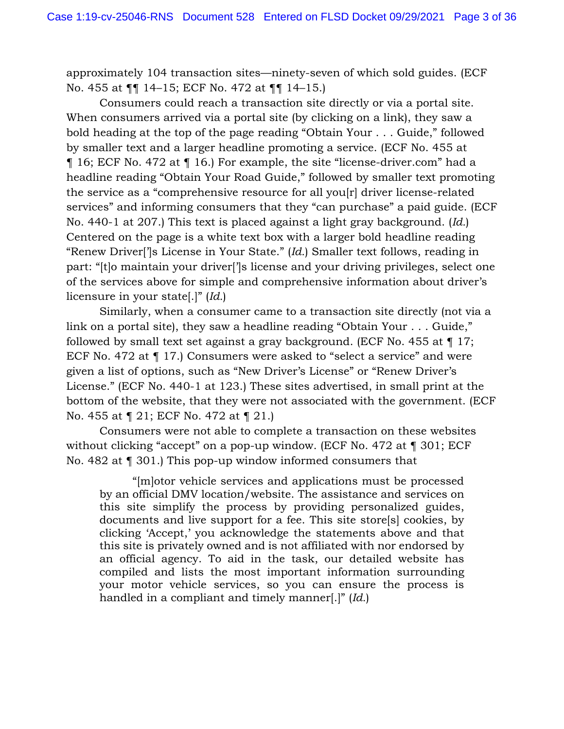approximately 104 transaction sites—ninety-seven of which sold guides. (ECF No. 455 at ¶¶ 14–15; ECF No. 472 at ¶¶ 14–15.)

Consumers could reach a transaction site directly or via a portal site. When consumers arrived via a portal site (by clicking on a link), they saw a bold heading at the top of the page reading "Obtain Your . . . Guide," followed by smaller text and a larger headline promoting a service. (ECF No. 455 at ¶ 16; ECF No. 472 at ¶ 16.) For example, the site "license-driver.com" had a headline reading "Obtain Your Road Guide," followed by smaller text promoting the service as a "comprehensive resource for all you[r] driver license-related services" and informing consumers that they "can purchase" a paid guide. (ECF No. 440-1 at 207.) This text is placed against a light gray background. (*Id.*) Centered on the page is a white text box with a larger bold headline reading "Renew Driver[']s License in Your State." (*Id.*) Smaller text follows, reading in part: "[t]o maintain your driver[']s license and your driving privileges, select one of the services above for simple and comprehensive information about driver's licensure in your state[.]" (*Id.*)

Similarly, when a consumer came to a transaction site directly (not via a link on a portal site), they saw a headline reading "Obtain Your . . . Guide," followed by small text set against a gray background. (ECF No. 455 at  $\P$  17; ECF No. 472 at ¶ 17.) Consumers were asked to "select a service" and were given a list of options, such as "New Driver's License" or "Renew Driver's License." (ECF No. 440-1 at 123.) These sites advertised, in small print at the bottom of the website, that they were not associated with the government. (ECF No. 455 at ¶ 21; ECF No. 472 at ¶ 21.)

Consumers were not able to complete a transaction on these websites without clicking "accept" on a pop-up window. (ECF No. 472 at ¶ 301; ECF No. 482 at ¶ 301.) This pop-up window informed consumers that

"[m]otor vehicle services and applications must be processed by an official DMV location/website. The assistance and services on this site simplify the process by providing personalized guides, documents and live support for a fee. This site store[s] cookies, by clicking 'Accept,' you acknowledge the statements above and that this site is privately owned and is not affiliated with nor endorsed by an official agency. To aid in the task, our detailed website has compiled and lists the most important information surrounding your motor vehicle services, so you can ensure the process is handled in a compliant and timely manner[.]" (*Id.*)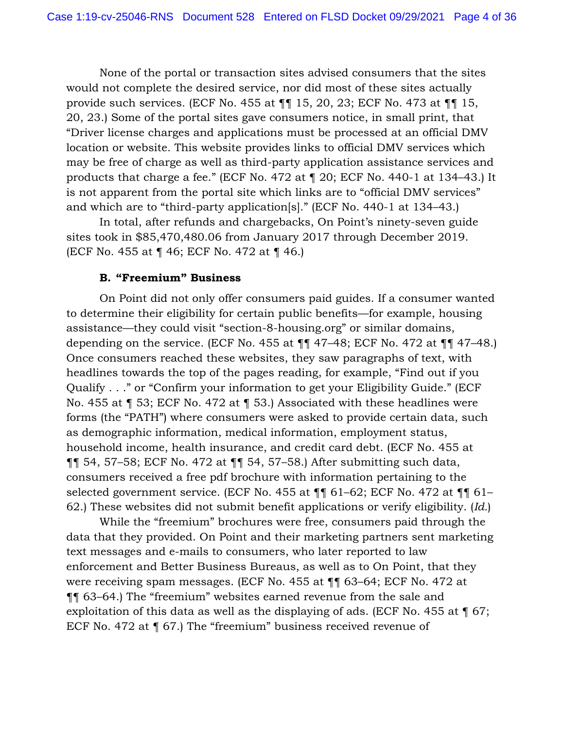None of the portal or transaction sites advised consumers that the sites would not complete the desired service, nor did most of these sites actually provide such services. (ECF No. 455 at ¶¶ 15, 20, 23; ECF No. 473 at ¶¶ 15, 20, 23.) Some of the portal sites gave consumers notice, in small print, that "Driver license charges and applications must be processed at an official DMV location or website. This website provides links to official DMV services which may be free of charge as well as third-party application assistance services and products that charge a fee." (ECF No. 472 at ¶ 20; ECF No. 440-1 at 134–43.) It is not apparent from the portal site which links are to "official DMV services" and which are to "third-party application[s]." (ECF No. 440-1 at 134–43.)

In total, after refunds and chargebacks, On Point's ninety-seven guide sites took in \$85,470,480.06 from January 2017 through December 2019. (ECF No. 455 at ¶ 46; ECF No. 472 at ¶ 46.)

## **B. "Freemium" Business**

On Point did not only offer consumers paid guides. If a consumer wanted to determine their eligibility for certain public benefits—for example, housing assistance—they could visit "section-8-housing.org" or similar domains, depending on the service. (ECF No. 455 at  $\P\P$  47–48; ECF No. 472 at  $\P$  47–48.) Once consumers reached these websites, they saw paragraphs of text, with headlines towards the top of the pages reading, for example, "Find out if you Qualify . . ." or "Confirm your information to get your Eligibility Guide." (ECF No. 455 at ¶ 53; ECF No. 472 at ¶ 53.) Associated with these headlines were forms (the "PATH") where consumers were asked to provide certain data, such as demographic information, medical information, employment status, household income, health insurance, and credit card debt. (ECF No. 455 at ¶¶ 54, 57–58; ECF No. 472 at ¶¶ 54, 57–58.) After submitting such data, consumers received a free pdf brochure with information pertaining to the selected government service. (ECF No. 455 at ¶¶ 61–62; ECF No. 472 at ¶¶ 61– 62.) These websites did not submit benefit applications or verify eligibility. (*Id.*)

While the "freemium" brochures were free, consumers paid through the data that they provided. On Point and their marketing partners sent marketing text messages and e-mails to consumers, who later reported to law enforcement and Better Business Bureaus, as well as to On Point, that they were receiving spam messages. (ECF No. 455 at ¶¶ 63–64; ECF No. 472 at ¶¶ 63–64.) The "freemium" websites earned revenue from the sale and exploitation of this data as well as the displaying of ads. (ECF No. 455 at ¶ 67; ECF No. 472 at ¶ 67.) The "freemium" business received revenue of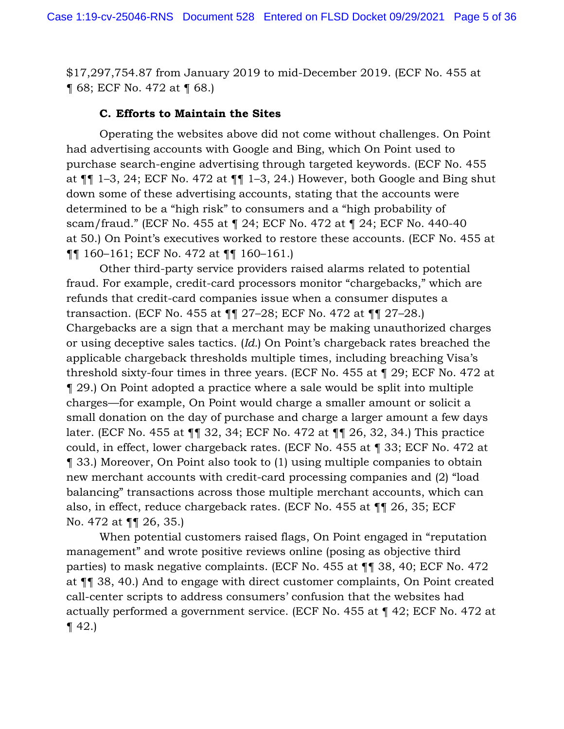\$17,297,754.87 from January 2019 to mid-December 2019. (ECF No. 455 at ¶ 68; ECF No. 472 at ¶ 68.)

## **C. Efforts to Maintain the Sites**

Operating the websites above did not come without challenges. On Point had advertising accounts with Google and Bing, which On Point used to purchase search-engine advertising through targeted keywords. (ECF No. 455 at  $\P\P$  1–3, 24; ECF No. 472 at  $\P\P$  1–3, 24.) However, both Google and Bing shut down some of these advertising accounts, stating that the accounts were determined to be a "high risk" to consumers and a "high probability of scam/fraud." (ECF No. 455 at ¶ 24; ECF No. 472 at ¶ 24; ECF No. 440-40 at 50.) On Point's executives worked to restore these accounts. (ECF No. 455 at ¶¶ 160–161; ECF No. 472 at ¶¶ 160–161.)

Other third-party service providers raised alarms related to potential fraud. For example, credit-card processors monitor "chargebacks," which are refunds that credit-card companies issue when a consumer disputes a transaction. (ECF No. 455 at ¶¶ 27–28; ECF No. 472 at ¶¶ 27–28.) Chargebacks are a sign that a merchant may be making unauthorized charges or using deceptive sales tactics. (*Id.*) On Point's chargeback rates breached the applicable chargeback thresholds multiple times, including breaching Visa's threshold sixty-four times in three years. (ECF No. 455 at ¶ 29; ECF No. 472 at ¶ 29.) On Point adopted a practice where a sale would be split into multiple charges—for example, On Point would charge a smaller amount or solicit a small donation on the day of purchase and charge a larger amount a few days later. (ECF No. 455 at ¶¶ 32, 34; ECF No. 472 at ¶¶ 26, 32, 34.) This practice could, in effect, lower chargeback rates. (ECF No. 455 at ¶ 33; ECF No. 472 at ¶ 33.) Moreover, On Point also took to (1) using multiple companies to obtain new merchant accounts with credit-card processing companies and (2) "load balancing" transactions across those multiple merchant accounts, which can also, in effect, reduce chargeback rates. (ECF No. 455 at ¶¶ 26, 35; ECF No. 472 at ¶¶ 26, 35.)

When potential customers raised flags, On Point engaged in "reputation management" and wrote positive reviews online (posing as objective third parties) to mask negative complaints. (ECF No. 455 at ¶¶ 38, 40; ECF No. 472 at ¶¶ 38, 40.) And to engage with direct customer complaints, On Point created call-center scripts to address consumers' confusion that the websites had actually performed a government service. (ECF No. 455 at ¶ 42; ECF No. 472 at  $\P(42.)$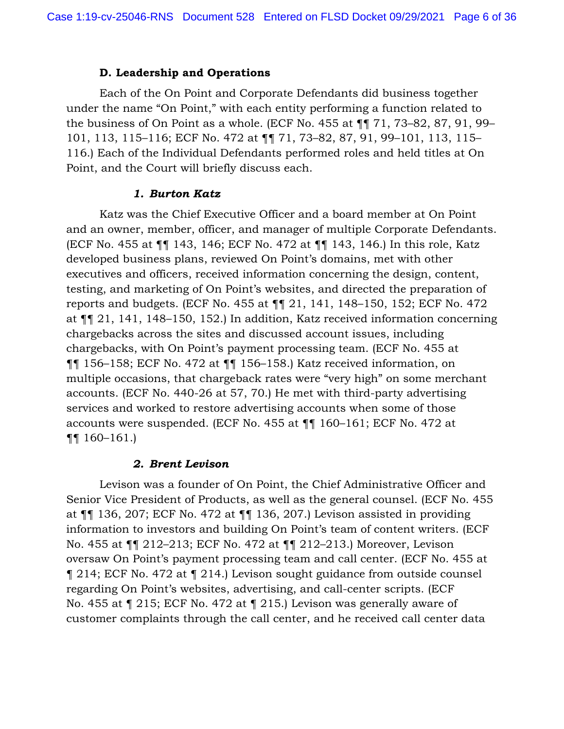### **D. Leadership and Operations**

Each of the On Point and Corporate Defendants did business together under the name "On Point," with each entity performing a function related to the business of On Point as a whole. (ECF No. 455 at ¶¶ 71, 73–82, 87, 91, 99– 101, 113, 115–116; ECF No. 472 at ¶¶ 71, 73–82, 87, 91, 99–101, 113, 115– 116.) Each of the Individual Defendants performed roles and held titles at On Point, and the Court will briefly discuss each.

### *1. Burton Katz*

Katz was the Chief Executive Officer and a board member at On Point and an owner, member, officer, and manager of multiple Corporate Defendants. (ECF No. 455 at ¶¶ 143, 146; ECF No. 472 at ¶¶ 143, 146.) In this role, Katz developed business plans, reviewed On Point's domains, met with other executives and officers, received information concerning the design, content, testing, and marketing of On Point's websites, and directed the preparation of reports and budgets. (ECF No. 455 at ¶¶ 21, 141, 148–150, 152; ECF No. 472 at ¶¶ 21, 141, 148–150, 152.) In addition, Katz received information concerning chargebacks across the sites and discussed account issues, including chargebacks, with On Point's payment processing team. (ECF No. 455 at ¶¶ 156–158; ECF No. 472 at ¶¶ 156–158.) Katz received information, on multiple occasions, that chargeback rates were "very high" on some merchant accounts. (ECF No. 440-26 at 57, 70.) He met with third-party advertising services and worked to restore advertising accounts when some of those accounts were suspended. (ECF No. 455 at ¶¶ 160–161; ECF No. 472 at ¶¶ 160–161.)

### *2. Brent Levison*

Levison was a founder of On Point, the Chief Administrative Officer and Senior Vice President of Products, as well as the general counsel. (ECF No. 455 at ¶¶ 136, 207; ECF No. 472 at ¶¶ 136, 207.) Levison assisted in providing information to investors and building On Point's team of content writers. (ECF No. 455 at ¶¶ 212–213; ECF No. 472 at ¶¶ 212–213.) Moreover, Levison oversaw On Point's payment processing team and call center. (ECF No. 455 at ¶ 214; ECF No. 472 at ¶ 214.) Levison sought guidance from outside counsel regarding On Point's websites, advertising, and call-center scripts. (ECF No. 455 at ¶ 215; ECF No. 472 at ¶ 215.) Levison was generally aware of customer complaints through the call center, and he received call center data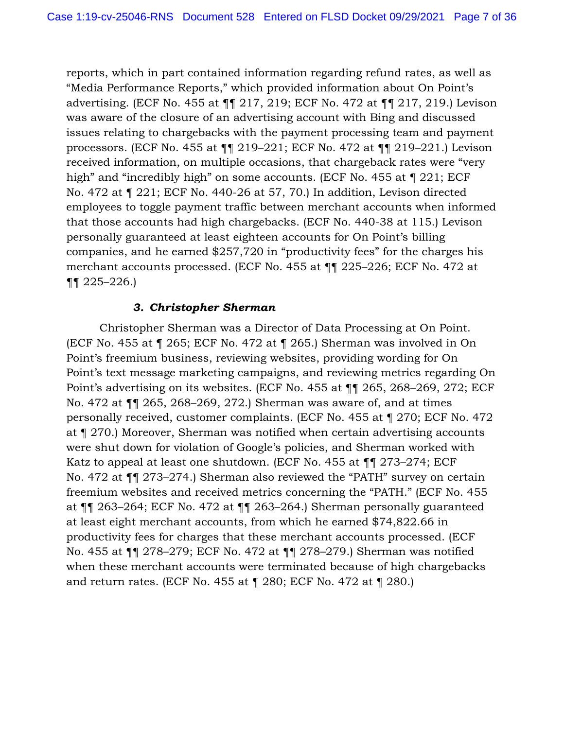reports, which in part contained information regarding refund rates, as well as "Media Performance Reports," which provided information about On Point's advertising. (ECF No. 455 at ¶¶ 217, 219; ECF No. 472 at ¶¶ 217, 219.) Levison was aware of the closure of an advertising account with Bing and discussed issues relating to chargebacks with the payment processing team and payment processors. (ECF No. 455 at ¶¶ 219–221; ECF No. 472 at ¶¶ 219–221.) Levison received information, on multiple occasions, that chargeback rates were "very high" and "incredibly high" on some accounts. (ECF No. 455 at ¶ 221; ECF No. 472 at ¶ 221; ECF No. 440-26 at 57, 70.) In addition, Levison directed employees to toggle payment traffic between merchant accounts when informed that those accounts had high chargebacks. (ECF No. 440-38 at 115.) Levison personally guaranteed at least eighteen accounts for On Point's billing companies, and he earned \$257,720 in "productivity fees" for the charges his merchant accounts processed. (ECF No. 455 at ¶¶ 225–226; ECF No. 472 at ¶¶ 225–226.)

## *3. Christopher Sherman*

Christopher Sherman was a Director of Data Processing at On Point. (ECF No. 455 at ¶ 265; ECF No. 472 at ¶ 265.) Sherman was involved in On Point's freemium business, reviewing websites, providing wording for On Point's text message marketing campaigns, and reviewing metrics regarding On Point's advertising on its websites. (ECF No. 455 at ¶¶ 265, 268–269, 272; ECF No. 472 at ¶¶ 265, 268–269, 272.) Sherman was aware of, and at times personally received, customer complaints. (ECF No. 455 at ¶ 270; ECF No. 472 at ¶ 270.) Moreover, Sherman was notified when certain advertising accounts were shut down for violation of Google's policies, and Sherman worked with Katz to appeal at least one shutdown. (ECF No. 455 at ¶¶ 273–274; ECF No. 472 at ¶¶ 273–274.) Sherman also reviewed the "PATH" survey on certain freemium websites and received metrics concerning the "PATH." (ECF No. 455 at ¶¶ 263–264; ECF No. 472 at ¶¶ 263–264.) Sherman personally guaranteed at least eight merchant accounts, from which he earned \$74,822.66 in productivity fees for charges that these merchant accounts processed. (ECF No. 455 at ¶¶ 278–279; ECF No. 472 at ¶¶ 278–279.) Sherman was notified when these merchant accounts were terminated because of high chargebacks and return rates. (ECF No. 455 at ¶ 280; ECF No. 472 at ¶ 280.)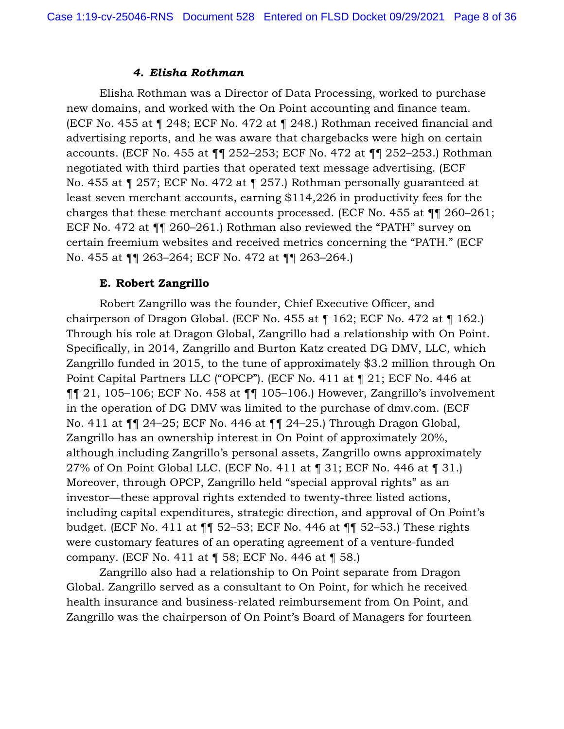#### *4. Elisha Rothman*

Elisha Rothman was a Director of Data Processing, worked to purchase new domains, and worked with the On Point accounting and finance team. (ECF No. 455 at ¶ 248; ECF No. 472 at ¶ 248.) Rothman received financial and advertising reports, and he was aware that chargebacks were high on certain accounts. (ECF No. 455 at ¶¶ 252–253; ECF No. 472 at ¶¶ 252–253.) Rothman negotiated with third parties that operated text message advertising. (ECF No. 455 at ¶ 257; ECF No. 472 at ¶ 257.) Rothman personally guaranteed at least seven merchant accounts, earning \$114,226 in productivity fees for the charges that these merchant accounts processed. (ECF No. 455 at ¶¶ 260–261; ECF No. 472 at ¶¶ 260–261.) Rothman also reviewed the "PATH" survey on certain freemium websites and received metrics concerning the "PATH." (ECF No. 455 at ¶¶ 263–264; ECF No. 472 at ¶¶ 263–264.)

## **E. Robert Zangrillo**

Robert Zangrillo was the founder, Chief Executive Officer, and chairperson of Dragon Global. (ECF No. 455 at ¶ 162; ECF No. 472 at ¶ 162.) Through his role at Dragon Global, Zangrillo had a relationship with On Point. Specifically, in 2014, Zangrillo and Burton Katz created DG DMV, LLC, which Zangrillo funded in 2015, to the tune of approximately \$3.2 million through On Point Capital Partners LLC ("OPCP"). (ECF No. 411 at ¶ 21; ECF No. 446 at ¶¶ 21, 105–106; ECF No. 458 at ¶¶ 105–106.) However, Zangrillo's involvement in the operation of DG DMV was limited to the purchase of dmv.com. (ECF No. 411 at ¶¶ 24–25; ECF No. 446 at ¶¶ 24–25.) Through Dragon Global, Zangrillo has an ownership interest in On Point of approximately 20%, although including Zangrillo's personal assets, Zangrillo owns approximately 27% of On Point Global LLC. (ECF No. 411 at ¶ 31; ECF No. 446 at ¶ 31.) Moreover, through OPCP, Zangrillo held "special approval rights" as an investor—these approval rights extended to twenty-three listed actions, including capital expenditures, strategic direction, and approval of On Point's budget. (ECF No. 411 at ¶¶ 52–53; ECF No. 446 at ¶¶ 52–53.) These rights were customary features of an operating agreement of a venture-funded company. (ECF No. 411 at ¶ 58; ECF No. 446 at ¶ 58.)

Zangrillo also had a relationship to On Point separate from Dragon Global. Zangrillo served as a consultant to On Point, for which he received health insurance and business-related reimbursement from On Point, and Zangrillo was the chairperson of On Point's Board of Managers for fourteen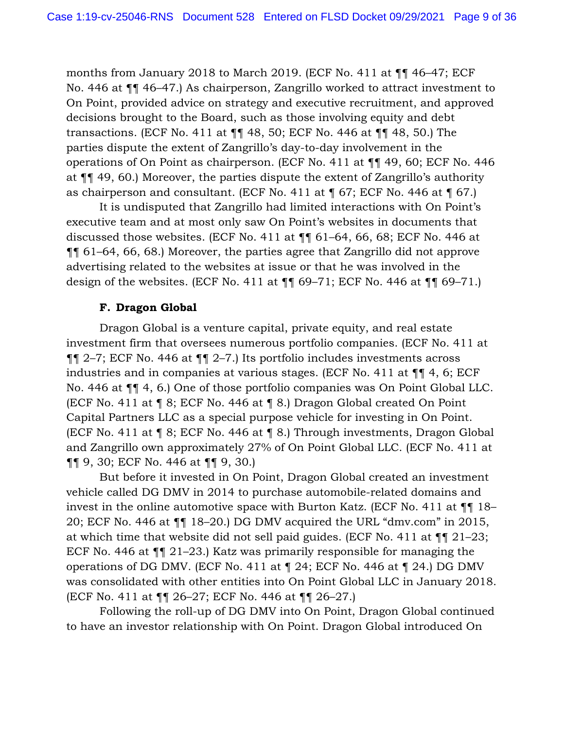months from January 2018 to March 2019. (ECF No. 411 at ¶¶ 46–47; ECF No. 446 at ¶¶ 46–47.) As chairperson, Zangrillo worked to attract investment to On Point, provided advice on strategy and executive recruitment, and approved decisions brought to the Board, such as those involving equity and debt transactions. (ECF No. 411 at ¶¶ 48, 50; ECF No. 446 at ¶¶ 48, 50.) The parties dispute the extent of Zangrillo's day-to-day involvement in the operations of On Point as chairperson. (ECF No. 411 at ¶¶ 49, 60; ECF No. 446 at ¶¶ 49, 60.) Moreover, the parties dispute the extent of Zangrillo's authority as chairperson and consultant. (ECF No. 411 at  $\P$  67; ECF No. 446 at  $\P$  67.)

It is undisputed that Zangrillo had limited interactions with On Point's executive team and at most only saw On Point's websites in documents that discussed those websites. (ECF No. 411 at ¶¶ 61–64, 66, 68; ECF No. 446 at ¶¶ 61–64, 66, 68.) Moreover, the parties agree that Zangrillo did not approve advertising related to the websites at issue or that he was involved in the design of the websites. (ECF No. 411 at  $\P$  69–71; ECF No. 446 at  $\P$  69–71.)

#### **F. Dragon Global**

Dragon Global is a venture capital, private equity, and real estate investment firm that oversees numerous portfolio companies. (ECF No. 411 at ¶¶ 2–7; ECF No. 446 at ¶¶ 2–7.) Its portfolio includes investments across industries and in companies at various stages. (ECF No. 411 at ¶¶ 4, 6; ECF No. 446 at ¶¶ 4, 6.) One of those portfolio companies was On Point Global LLC. (ECF No. 411 at ¶ 8; ECF No. 446 at ¶ 8.) Dragon Global created On Point Capital Partners LLC as a special purpose vehicle for investing in On Point. (ECF No. 411 at ¶ 8; ECF No. 446 at ¶ 8.) Through investments, Dragon Global and Zangrillo own approximately 27% of On Point Global LLC. (ECF No. 411 at ¶¶ 9, 30; ECF No. 446 at ¶¶ 9, 30.)

But before it invested in On Point, Dragon Global created an investment vehicle called DG DMV in 2014 to purchase automobile-related domains and invest in the online automotive space with Burton Katz. (ECF No. 411 at ¶¶ 18– 20; ECF No. 446 at ¶¶ 18–20.) DG DMV acquired the URL "dmv.com" in 2015, at which time that website did not sell paid guides. (ECF No. 411 at ¶¶ 21–23; ECF No. 446 at ¶¶ 21–23.) Katz was primarily responsible for managing the operations of DG DMV. (ECF No. 411 at ¶ 24; ECF No. 446 at ¶ 24.) DG DMV was consolidated with other entities into On Point Global LLC in January 2018. (ECF No. 411 at ¶¶ 26–27; ECF No. 446 at ¶¶ 26–27.)

Following the roll-up of DG DMV into On Point, Dragon Global continued to have an investor relationship with On Point. Dragon Global introduced On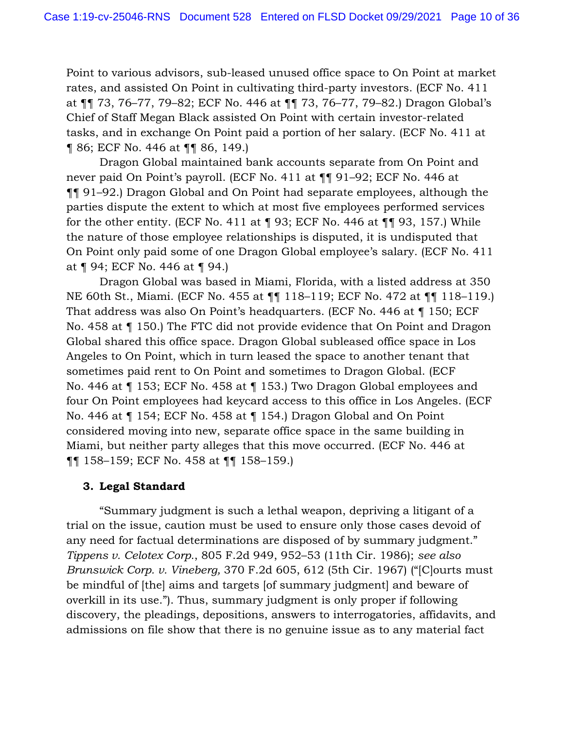Point to various advisors, sub-leased unused office space to On Point at market rates, and assisted On Point in cultivating third-party investors. (ECF No. 411 at ¶¶ 73, 76–77, 79–82; ECF No. 446 at ¶¶ 73, 76–77, 79–82.) Dragon Global's Chief of Staff Megan Black assisted On Point with certain investor-related tasks, and in exchange On Point paid a portion of her salary. (ECF No. 411 at ¶ 86; ECF No. 446 at ¶¶ 86, 149.)

Dragon Global maintained bank accounts separate from On Point and never paid On Point's payroll. (ECF No. 411 at ¶¶ 91–92; ECF No. 446 at ¶¶ 91–92.) Dragon Global and On Point had separate employees, although the parties dispute the extent to which at most five employees performed services for the other entity. (ECF No. 411 at  $\P$  93; ECF No. 446 at  $\P$  93, 157.) While the nature of those employee relationships is disputed, it is undisputed that On Point only paid some of one Dragon Global employee's salary. (ECF No. 411 at ¶ 94; ECF No. 446 at ¶ 94.)

Dragon Global was based in Miami, Florida, with a listed address at 350 NE 60th St., Miami. (ECF No. 455 at ¶¶ 118–119; ECF No. 472 at ¶¶ 118–119.) That address was also On Point's headquarters. (ECF No. 446 at ¶ 150; ECF No. 458 at ¶ 150.) The FTC did not provide evidence that On Point and Dragon Global shared this office space. Dragon Global subleased office space in Los Angeles to On Point, which in turn leased the space to another tenant that sometimes paid rent to On Point and sometimes to Dragon Global. (ECF No. 446 at ¶ 153; ECF No. 458 at ¶ 153.) Two Dragon Global employees and four On Point employees had keycard access to this office in Los Angeles. (ECF No. 446 at ¶ 154; ECF No. 458 at ¶ 154.) Dragon Global and On Point considered moving into new, separate office space in the same building in Miami, but neither party alleges that this move occurred. (ECF No. 446 at ¶¶ 158–159; ECF No. 458 at ¶¶ 158–159.)

# **3. Legal Standard**

"Summary judgment is such a lethal weapon, depriving a litigant of a trial on the issue, caution must be used to ensure only those cases devoid of any need for factual determinations are disposed of by summary judgment." *Tippens v. Celotex Corp.*, 805 F.2d 949, 952–53 (11th Cir. 1986); *see also Brunswick Corp. v. Vineberg,* 370 F.2d 605, 612 (5th Cir. 1967) ("[C]ourts must be mindful of [the] aims and targets [of summary judgment] and beware of overkill in its use."). Thus, summary judgment is only proper if following discovery, the pleadings, depositions, answers to interrogatories, affidavits, and admissions on file show that there is no genuine issue as to any material fact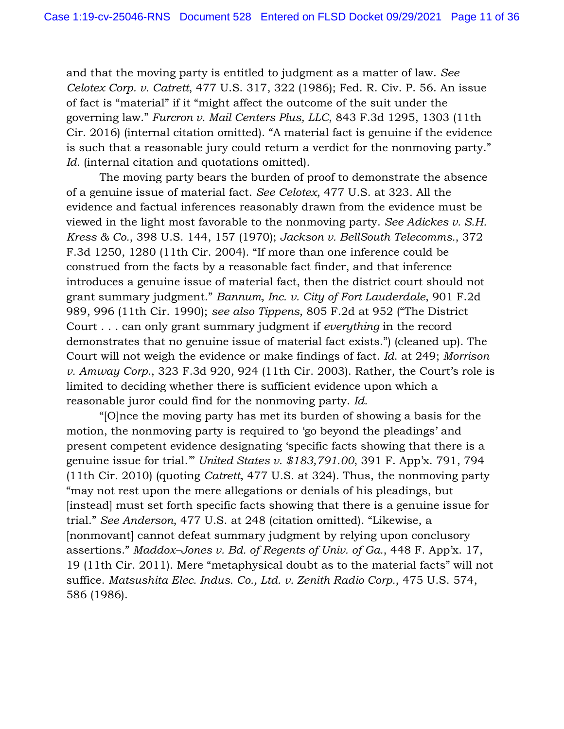and that the moving party is entitled to judgment as a matter of law. *See Celotex Corp. v. Catrett*, 477 U.S. 317, 322 (1986); Fed. R. Civ. P. 56. An issue of fact is "material" if it "might affect the outcome of the suit under the governing law." *Furcron v. Mail Centers Plus, LLC*, 843 F.3d 1295, 1303 (11th Cir. 2016) (internal citation omitted). "A material fact is genuine if the evidence is such that a reasonable jury could return a verdict for the nonmoving party." *Id.* (internal citation and quotations omitted).

The moving party bears the burden of proof to demonstrate the absence of a genuine issue of material fact. *See Celotex*, 477 U.S. at 323. All the evidence and factual inferences reasonably drawn from the evidence must be viewed in the light most favorable to the nonmoving party. *See Adickes v. S.H. Kress & Co.*, 398 U.S. 144, 157 (1970); *Jackson v. BellSouth Telecomms.*, 372 F.3d 1250, 1280 (11th Cir. 2004). "If more than one inference could be construed from the facts by a reasonable fact finder, and that inference introduces a genuine issue of material fact, then the district court should not grant summary judgment." *Bannum, Inc. v. City of Fort Lauderdale*, 901 F.2d 989, 996 (11th Cir. 1990); *see also Tippens*, 805 F.2d at 952 ("The District Court . . . can only grant summary judgment if *everything* in the record demonstrates that no genuine issue of material fact exists.") (cleaned up). The Court will not weigh the evidence or make findings of fact. *Id*. at 249; *Morrison v. Amway Corp.*, 323 F.3d 920, 924 (11th Cir. 2003). Rather, the Court's role is limited to deciding whether there is sufficient evidence upon which a reasonable juror could find for the nonmoving party. *Id.*

"[O]nce the moving party has met its burden of showing a basis for the motion, the nonmoving party is required to 'go beyond the pleadings' and present competent evidence designating 'specific facts showing that there is a genuine issue for trial.'" *United States v. \$183,791.00*, 391 F. App'x. 791, 794 (11th Cir. 2010) (quoting *Catrett*, 477 U.S. at 324). Thus, the nonmoving party "may not rest upon the mere allegations or denials of his pleadings, but [instead] must set forth specific facts showing that there is a genuine issue for trial." *See Anderson*, 477 U.S. at 248 (citation omitted). "Likewise, a [nonmovant] cannot defeat summary judgment by relying upon conclusory assertions." *Maddox–Jones v. Bd. of Regents of Univ. of Ga.*, 448 F. App'x. 17, 19 (11th Cir. 2011). Mere "metaphysical doubt as to the material facts" will not suffice. *Matsushita Elec. Indus. Co., Ltd. v. Zenith Radio Corp.*, 475 U.S. 574, 586 (1986).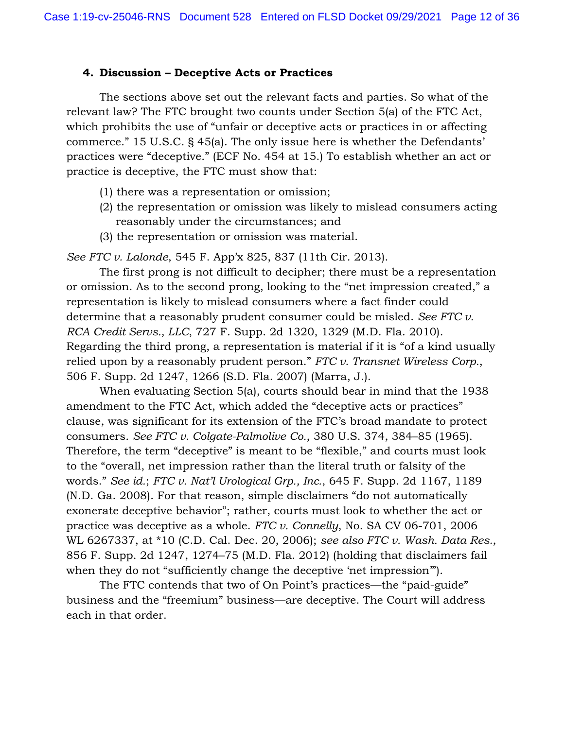## **4. Discussion – Deceptive Acts or Practices**

The sections above set out the relevant facts and parties. So what of the relevant law? The FTC brought two counts under Section 5(a) of the FTC Act, which prohibits the use of "unfair or deceptive acts or practices in or affecting commerce." 15 U.S.C. § 45(a). The only issue here is whether the Defendants' practices were "deceptive." (ECF No. 454 at 15.) To establish whether an act or practice is deceptive, the FTC must show that:

- (1) there was a representation or omission;
- (2) the representation or omission was likely to mislead consumers acting reasonably under the circumstances; and
- (3) the representation or omission was material.

*See FTC v. Lalonde*, 545 F. App'x 825, 837 (11th Cir. 2013).

The first prong is not difficult to decipher; there must be a representation or omission. As to the second prong, looking to the "net impression created," a representation is likely to mislead consumers where a fact finder could determine that a reasonably prudent consumer could be misled. *See FTC v. RCA Credit Servs., LLC*, 727 F. Supp. 2d 1320, 1329 (M.D. Fla. 2010). Regarding the third prong, a representation is material if it is "of a kind usually relied upon by a reasonably prudent person." *FTC v. Transnet Wireless Corp.*, 506 F. Supp. 2d 1247, 1266 (S.D. Fla. 2007) (Marra, J.).

When evaluating Section 5(a), courts should bear in mind that the 1938 amendment to the FTC Act, which added the "deceptive acts or practices" clause, was significant for its extension of the FTC's broad mandate to protect consumers. *See FTC v. Colgate-Palmolive Co.*, 380 U.S. 374, 384–85 (1965). Therefore, the term "deceptive" is meant to be "flexible," and courts must look to the "overall, net impression rather than the literal truth or falsity of the words." *See id.*; *FTC v. Nat'l Urological Grp., Inc.*, 645 F. Supp. 2d 1167, 1189 (N.D. Ga. 2008). For that reason, simple disclaimers "do not automatically exonerate deceptive behavior"; rather, courts must look to whether the act or practice was deceptive as a whole. *FTC v. Connelly*, No. SA CV 06-701, 2006 WL 6267337, at \*10 (C.D. Cal. Dec. 20, 2006); *see also FTC v. Wash. Data Res.*, 856 F. Supp. 2d 1247, 1274–75 (M.D. Fla. 2012) (holding that disclaimers fail when they do not "sufficiently change the deceptive 'net impression'").

The FTC contends that two of On Point's practices—the "paid-guide" business and the "freemium" business—are deceptive. The Court will address each in that order.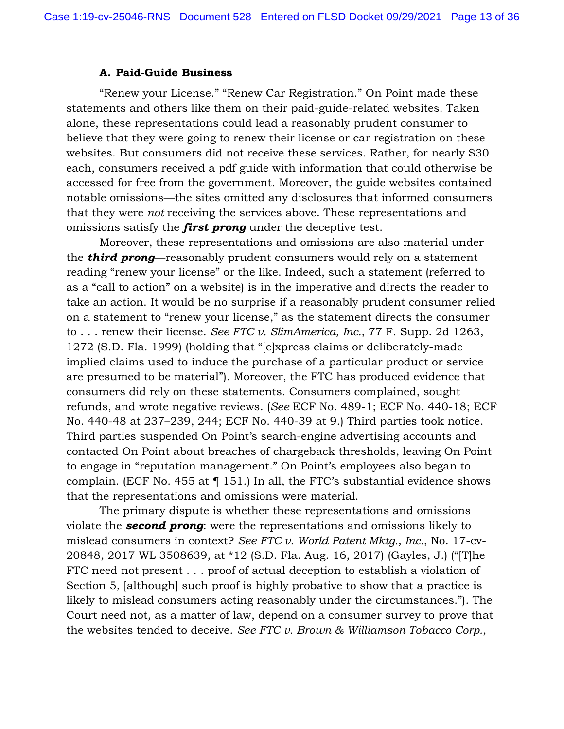## **A. Paid-Guide Business**

"Renew your License." "Renew Car Registration." On Point made these statements and others like them on their paid-guide-related websites. Taken alone, these representations could lead a reasonably prudent consumer to believe that they were going to renew their license or car registration on these websites. But consumers did not receive these services. Rather, for nearly \$30 each, consumers received a pdf guide with information that could otherwise be accessed for free from the government. Moreover, the guide websites contained notable omissions—the sites omitted any disclosures that informed consumers that they were *not* receiving the services above. These representations and omissions satisfy the *first prong* under the deceptive test.

Moreover, these representations and omissions are also material under the *third prong*—reasonably prudent consumers would rely on a statement reading "renew your license" or the like. Indeed, such a statement (referred to as a "call to action" on a website) is in the imperative and directs the reader to take an action. It would be no surprise if a reasonably prudent consumer relied on a statement to "renew your license," as the statement directs the consumer to . . . renew their license. *See FTC v. SlimAmerica, Inc.*, 77 F. Supp. 2d 1263, 1272 (S.D. Fla. 1999) (holding that "[e]xpress claims or deliberately-made implied claims used to induce the purchase of a particular product or service are presumed to be material"). Moreover, the FTC has produced evidence that consumers did rely on these statements. Consumers complained, sought refunds, and wrote negative reviews. (*See* ECF No. 489-1; ECF No. 440-18; ECF No. 440-48 at 237–239, 244; ECF No. 440-39 at 9.) Third parties took notice. Third parties suspended On Point's search-engine advertising accounts and contacted On Point about breaches of chargeback thresholds, leaving On Point to engage in "reputation management." On Point's employees also began to complain. (ECF No. 455 at ¶ 151.) In all, the FTC's substantial evidence shows that the representations and omissions were material.

The primary dispute is whether these representations and omissions violate the *second prong*: were the representations and omissions likely to mislead consumers in context? *See FTC v. World Patent Mktg., Inc.*, No. 17-cv-20848, 2017 WL 3508639, at \*12 (S.D. Fla. Aug. 16, 2017) (Gayles, J.) ("[T]he FTC need not present . . . proof of actual deception to establish a violation of Section 5, [although] such proof is highly probative to show that a practice is likely to mislead consumers acting reasonably under the circumstances."). The Court need not, as a matter of law, depend on a consumer survey to prove that the websites tended to deceive. *See FTC v. Brown & Williamson Tobacco Corp.*,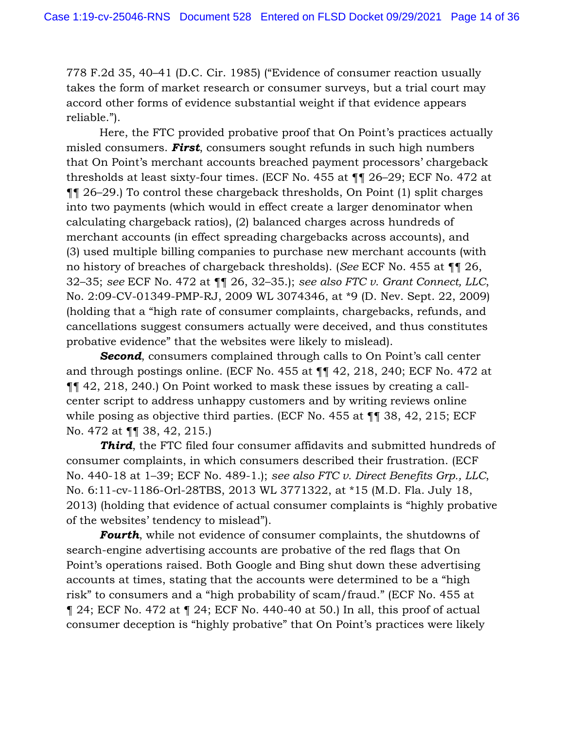778 F.2d 35, 40–41 (D.C. Cir. 1985) ("Evidence of consumer reaction usually takes the form of market research or consumer surveys, but a trial court may accord other forms of evidence substantial weight if that evidence appears reliable.").

Here, the FTC provided probative proof that On Point's practices actually misled consumers. *First*, consumers sought refunds in such high numbers that On Point's merchant accounts breached payment processors' chargeback thresholds at least sixty-four times. (ECF No. 455 at ¶¶ 26–29; ECF No. 472 at ¶¶ 26–29.) To control these chargeback thresholds, On Point (1) split charges into two payments (which would in effect create a larger denominator when calculating chargeback ratios), (2) balanced charges across hundreds of merchant accounts (in effect spreading chargebacks across accounts), and (3) used multiple billing companies to purchase new merchant accounts (with no history of breaches of chargeback thresholds). (*See* ECF No. 455 at ¶¶ 26, 32–35; *see* ECF No. 472 at ¶¶ 26, 32–35.); *see also FTC v. Grant Connect, LLC*, No. 2:09-CV-01349-PMP-RJ, 2009 WL 3074346, at \*9 (D. Nev. Sept. 22, 2009) (holding that a "high rate of consumer complaints, chargebacks, refunds, and cancellations suggest consumers actually were deceived, and thus constitutes probative evidence" that the websites were likely to mislead).

*Second*, consumers complained through calls to On Point's call center and through postings online. (ECF No. 455 at ¶¶ 42, 218, 240; ECF No. 472 at ¶¶ 42, 218, 240.) On Point worked to mask these issues by creating a callcenter script to address unhappy customers and by writing reviews online while posing as objective third parties. (ECF No. 455 at  $\P$  **1** 38, 42, 215; ECF No. 472 at ¶¶ 38, 42, 215.)

**Third**, the FTC filed four consumer affidavits and submitted hundreds of consumer complaints, in which consumers described their frustration. (ECF No. 440-18 at 1–39; ECF No. 489-1.); *see also FTC v. Direct Benefits Grp., LLC*, No. 6:11-cv-1186-Orl-28TBS, 2013 WL 3771322, at \*15 (M.D. Fla. July 18, 2013) (holding that evidence of actual consumer complaints is "highly probative of the websites' tendency to mislead").

*Fourth*, while not evidence of consumer complaints, the shutdowns of search-engine advertising accounts are probative of the red flags that On Point's operations raised. Both Google and Bing shut down these advertising accounts at times, stating that the accounts were determined to be a "high risk" to consumers and a "high probability of scam/fraud." (ECF No. 455 at  $\parallel$  24; ECF No. 472 at  $\parallel$  24; ECF No. 440-40 at 50.) In all, this proof of actual consumer deception is "highly probative" that On Point's practices were likely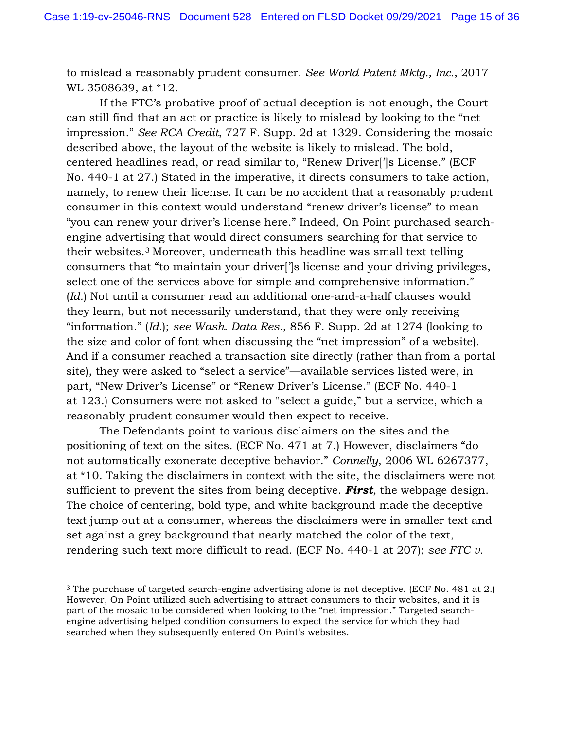to mislead a reasonably prudent consumer. *See World Patent Mktg., Inc.*, 2017 WL 3508639, at \*12.

If the FTC's probative proof of actual deception is not enough, the Court can still find that an act or practice is likely to mislead by looking to the "net impression." *See RCA Credit*, 727 F. Supp. 2d at 1329. Considering the mosaic described above, the layout of the website is likely to mislead. The bold, centered headlines read, or read similar to, "Renew Driver[']s License." (ECF No. 440-1 at 27.) Stated in the imperative, it directs consumers to take action, namely, to renew their license. It can be no accident that a reasonably prudent consumer in this context would understand "renew driver's license" to mean "you can renew your driver's license here." Indeed, On Point purchased searchengine advertising that would direct consumers searching for that service to their websites.3 Moreover, underneath this headline was small text telling consumers that "to maintain your driver[']s license and your driving privileges, select one of the services above for simple and comprehensive information." (*Id.*) Not until a consumer read an additional one-and-a-half clauses would they learn, but not necessarily understand, that they were only receiving "information." (*Id.*); *see Wash. Data Res.*, 856 F. Supp. 2d at 1274 (looking to the size and color of font when discussing the "net impression" of a website). And if a consumer reached a transaction site directly (rather than from a portal site), they were asked to "select a service"—available services listed were, in part, "New Driver's License" or "Renew Driver's License." (ECF No. 440-1 at 123.) Consumers were not asked to "select a guide," but a service, which a reasonably prudent consumer would then expect to receive.

The Defendants point to various disclaimers on the sites and the positioning of text on the sites. (ECF No. 471 at 7.) However, disclaimers "do not automatically exonerate deceptive behavior." *Connelly*, 2006 WL 6267377, at \*10. Taking the disclaimers in context with the site, the disclaimers were not sufficient to prevent the sites from being deceptive. *First*, the webpage design. The choice of centering, bold type, and white background made the deceptive text jump out at a consumer, whereas the disclaimers were in smaller text and set against a grey background that nearly matched the color of the text, rendering such text more difficult to read. (ECF No. 440-1 at 207); *see FTC v.* 

<sup>3</sup> The purchase of targeted search-engine advertising alone is not deceptive. (ECF No. 481 at 2.) However, On Point utilized such advertising to attract consumers to their websites, and it is part of the mosaic to be considered when looking to the "net impression." Targeted searchengine advertising helped condition consumers to expect the service for which they had searched when they subsequently entered On Point's websites.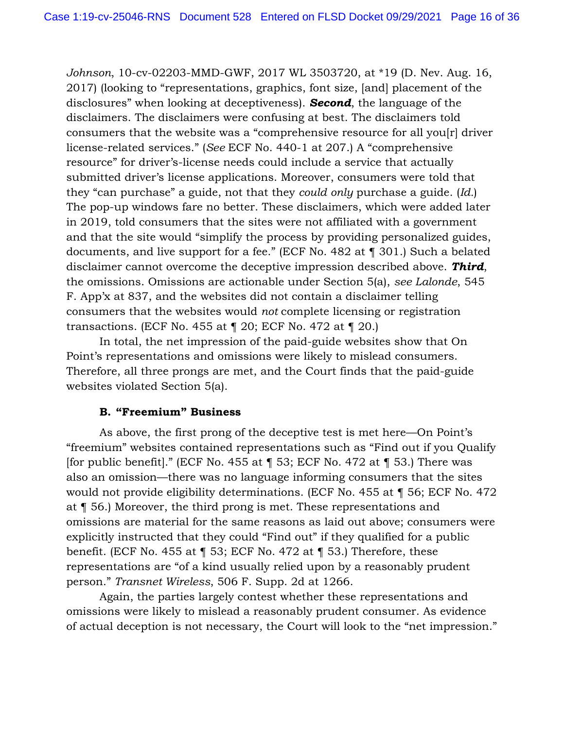*Johnson*, 10-cv-02203-MMD-GWF, 2017 WL 3503720, at \*19 (D. Nev. Aug. 16, 2017) (looking to "representations, graphics, font size, [and] placement of the disclosures" when looking at deceptiveness). *Second*, the language of the disclaimers. The disclaimers were confusing at best. The disclaimers told consumers that the website was a "comprehensive resource for all you[r] driver license-related services." (*See* ECF No. 440-1 at 207.) A "comprehensive resource" for driver's-license needs could include a service that actually submitted driver's license applications. Moreover, consumers were told that they "can purchase" a guide, not that they *could only* purchase a guide. (*Id.*) The pop-up windows fare no better. These disclaimers, which were added later in 2019, told consumers that the sites were not affiliated with a government and that the site would "simplify the process by providing personalized guides, documents, and live support for a fee." (ECF No. 482 at ¶ 301.) Such a belated disclaimer cannot overcome the deceptive impression described above. *Third*, the omissions. Omissions are actionable under Section 5(a), *see Lalonde*, 545 F. App'x at 837, and the websites did not contain a disclaimer telling consumers that the websites would *not* complete licensing or registration transactions. (ECF No. 455 at ¶ 20; ECF No. 472 at ¶ 20.)

In total, the net impression of the paid-guide websites show that On Point's representations and omissions were likely to mislead consumers. Therefore, all three prongs are met, and the Court finds that the paid-guide websites violated Section 5(a).

### **B. "Freemium" Business**

As above, the first prong of the deceptive test is met here—On Point's "freemium" websites contained representations such as "Find out if you Qualify [for public benefit]." (ECF No. 455 at  $\P$  53; ECF No. 472 at  $\P$  53.) There was also an omission—there was no language informing consumers that the sites would not provide eligibility determinations. (ECF No. 455 at ¶ 56; ECF No. 472 at ¶ 56.) Moreover, the third prong is met. These representations and omissions are material for the same reasons as laid out above; consumers were explicitly instructed that they could "Find out" if they qualified for a public benefit. (ECF No. 455 at ¶ 53; ECF No. 472 at ¶ 53.) Therefore, these representations are "of a kind usually relied upon by a reasonably prudent person." *Transnet Wireless*, 506 F. Supp. 2d at 1266.

Again, the parties largely contest whether these representations and omissions were likely to mislead a reasonably prudent consumer. As evidence of actual deception is not necessary, the Court will look to the "net impression."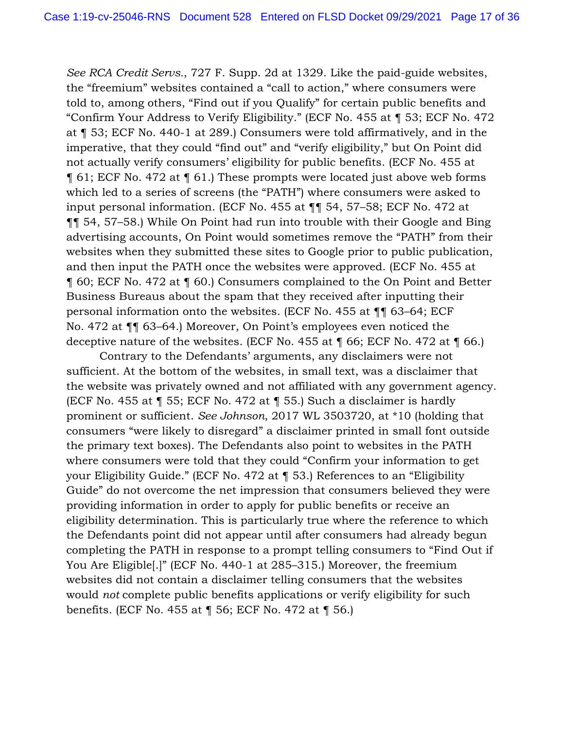*See RCA Credit Servs.*, 727 F. Supp. 2d at 1329. Like the paid-guide websites, the "freemium" websites contained a "call to action," where consumers were told to, among others, "Find out if you Qualify" for certain public benefits and "Confirm Your Address to Verify Eligibility." (ECF No. 455 at ¶ 53; ECF No. 472 at ¶ 53; ECF No. 440-1 at 289.) Consumers were told affirmatively, and in the imperative, that they could "find out" and "verify eligibility," but On Point did not actually verify consumers' eligibility for public benefits. (ECF No. 455 at ¶ 61; ECF No. 472 at ¶ 61.) These prompts were located just above web forms which led to a series of screens (the "PATH") where consumers were asked to input personal information. (ECF No. 455 at ¶¶ 54, 57–58; ECF No. 472 at ¶¶ 54, 57–58.) While On Point had run into trouble with their Google and Bing advertising accounts, On Point would sometimes remove the "PATH" from their websites when they submitted these sites to Google prior to public publication, and then input the PATH once the websites were approved. (ECF No. 455 at ¶ 60; ECF No. 472 at ¶ 60.) Consumers complained to the On Point and Better Business Bureaus about the spam that they received after inputting their personal information onto the websites. (ECF No. 455 at ¶¶ 63–64; ECF No. 472 at ¶¶ 63–64.) Moreover, On Point's employees even noticed the deceptive nature of the websites. (ECF No. 455 at ¶ 66; ECF No. 472 at ¶ 66.)

Contrary to the Defendants' arguments, any disclaimers were not sufficient. At the bottom of the websites, in small text, was a disclaimer that the website was privately owned and not affiliated with any government agency. (ECF No. 455 at ¶ 55; ECF No. 472 at ¶ 55.) Such a disclaimer is hardly prominent or sufficient. *See Johnson*, 2017 WL 3503720, at \*10 (holding that consumers "were likely to disregard" a disclaimer printed in small font outside the primary text boxes). The Defendants also point to websites in the PATH where consumers were told that they could "Confirm your information to get your Eligibility Guide." (ECF No. 472 at ¶ 53.) References to an "Eligibility Guide" do not overcome the net impression that consumers believed they were providing information in order to apply for public benefits or receive an eligibility determination. This is particularly true where the reference to which the Defendants point did not appear until after consumers had already begun completing the PATH in response to a prompt telling consumers to "Find Out if You Are Eligible[.]" (ECF No. 440-1 at 285–315.) Moreover, the freemium websites did not contain a disclaimer telling consumers that the websites would *not* complete public benefits applications or verify eligibility for such benefits. (ECF No. 455 at ¶ 56; ECF No. 472 at ¶ 56.)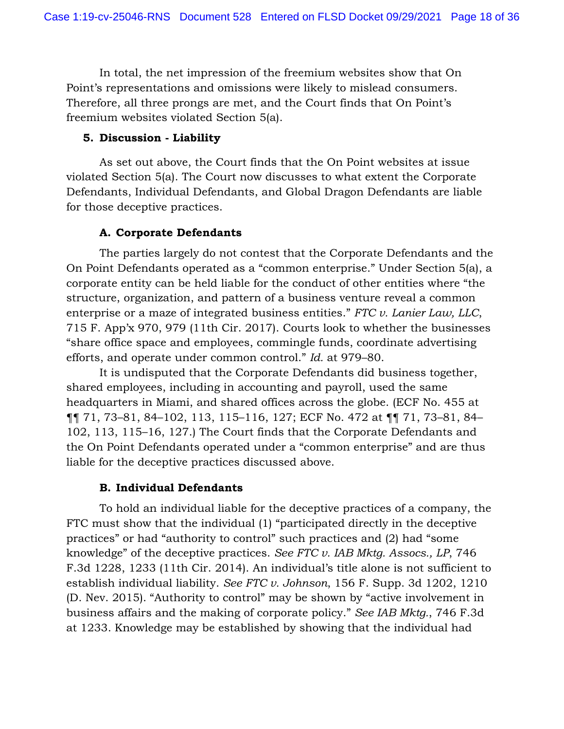In total, the net impression of the freemium websites show that On Point's representations and omissions were likely to mislead consumers. Therefore, all three prongs are met, and the Court finds that On Point's freemium websites violated Section 5(a).

## **5. Discussion - Liability**

As set out above, the Court finds that the On Point websites at issue violated Section 5(a). The Court now discusses to what extent the Corporate Defendants, Individual Defendants, and Global Dragon Defendants are liable for those deceptive practices.

# **A. Corporate Defendants**

The parties largely do not contest that the Corporate Defendants and the On Point Defendants operated as a "common enterprise." Under Section 5(a), a corporate entity can be held liable for the conduct of other entities where "the structure, organization, and pattern of a business venture reveal a common enterprise or a maze of integrated business entities." *FTC v. Lanier Law, LLC*, 715 F. App'x 970, 979 (11th Cir. 2017). Courts look to whether the businesses "share office space and employees, commingle funds, coordinate advertising efforts, and operate under common control." *Id.* at 979–80.

It is undisputed that the Corporate Defendants did business together, shared employees, including in accounting and payroll, used the same headquarters in Miami, and shared offices across the globe. (ECF No. 455 at ¶¶ 71, 73–81, 84–102, 113, 115–116, 127; ECF No. 472 at ¶¶ 71, 73–81, 84– 102, 113, 115–16, 127.) The Court finds that the Corporate Defendants and the On Point Defendants operated under a "common enterprise" and are thus liable for the deceptive practices discussed above.

# **B. Individual Defendants**

To hold an individual liable for the deceptive practices of a company, the FTC must show that the individual (1) "participated directly in the deceptive practices" or had "authority to control" such practices and (2) had "some knowledge" of the deceptive practices. *See FTC v. IAB Mktg. Assocs., LP*, 746 F.3d 1228, 1233 (11th Cir. 2014). An individual's title alone is not sufficient to establish individual liability. *See FTC v. Johnson*, 156 F. Supp. 3d 1202, 1210 (D. Nev. 2015). "Authority to control" may be shown by "active involvement in business affairs and the making of corporate policy." *See IAB Mktg.*, 746 F.3d at 1233. Knowledge may be established by showing that the individual had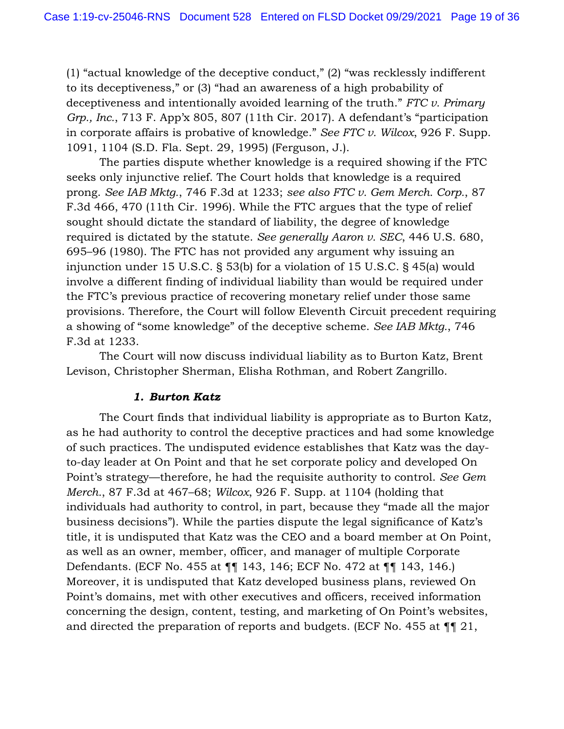(1) "actual knowledge of the deceptive conduct," (2) "was recklessly indifferent to its deceptiveness," or (3) "had an awareness of a high probability of deceptiveness and intentionally avoided learning of the truth." *FTC v. Primary Grp., Inc.*, 713 F. App'x 805, 807 (11th Cir. 2017). A defendant's "participation in corporate affairs is probative of knowledge." *See FTC v. Wilcox*, 926 F. Supp. 1091, 1104 (S.D. Fla. Sept. 29, 1995) (Ferguson, J.).

The parties dispute whether knowledge is a required showing if the FTC seeks only injunctive relief. The Court holds that knowledge is a required prong. *See IAB Mktg.*, 746 F.3d at 1233; *see also FTC v. Gem Merch. Corp.*, 87 F.3d 466, 470 (11th Cir. 1996). While the FTC argues that the type of relief sought should dictate the standard of liability, the degree of knowledge required is dictated by the statute. *See generally Aaron v. SEC*, 446 U.S. 680, 695–96 (1980). The FTC has not provided any argument why issuing an injunction under 15 U.S.C. § 53(b) for a violation of 15 U.S.C. § 45(a) would involve a different finding of individual liability than would be required under the FTC's previous practice of recovering monetary relief under those same provisions. Therefore, the Court will follow Eleventh Circuit precedent requiring a showing of "some knowledge" of the deceptive scheme. *See IAB Mktg.*, 746 F.3d at 1233.

The Court will now discuss individual liability as to Burton Katz, Brent Levison, Christopher Sherman, Elisha Rothman, and Robert Zangrillo.

### *1. Burton Katz*

The Court finds that individual liability is appropriate as to Burton Katz, as he had authority to control the deceptive practices and had some knowledge of such practices. The undisputed evidence establishes that Katz was the dayto-day leader at On Point and that he set corporate policy and developed On Point's strategy—therefore, he had the requisite authority to control. *See Gem Merch.*, 87 F.3d at 467–68; *Wilcox*, 926 F. Supp. at 1104 (holding that individuals had authority to control, in part, because they "made all the major business decisions"). While the parties dispute the legal significance of Katz's title, it is undisputed that Katz was the CEO and a board member at On Point, as well as an owner, member, officer, and manager of multiple Corporate Defendants. (ECF No. 455 at ¶¶ 143, 146; ECF No. 472 at ¶¶ 143, 146.) Moreover, it is undisputed that Katz developed business plans, reviewed On Point's domains, met with other executives and officers, received information concerning the design, content, testing, and marketing of On Point's websites, and directed the preparation of reports and budgets. (ECF No. 455 at ¶¶ 21,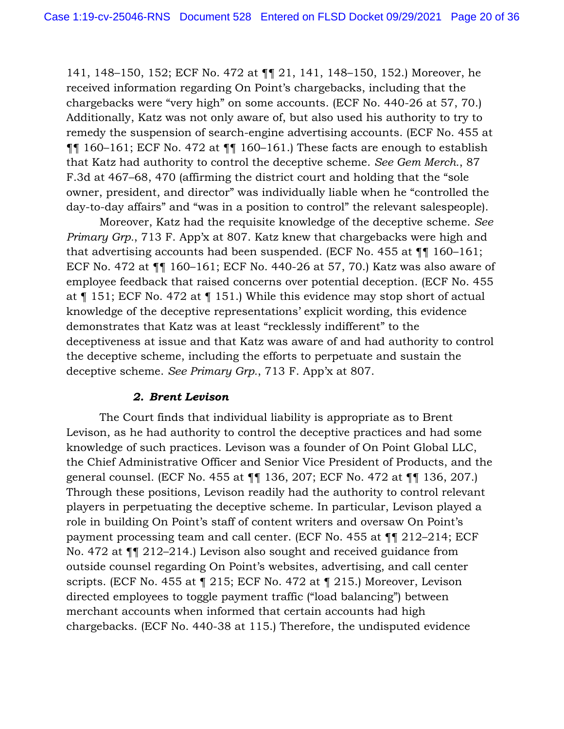141, 148–150, 152; ECF No. 472 at ¶¶ 21, 141, 148–150, 152.) Moreover, he received information regarding On Point's chargebacks, including that the chargebacks were "very high" on some accounts. (ECF No. 440-26 at 57, 70.) Additionally, Katz was not only aware of, but also used his authority to try to remedy the suspension of search-engine advertising accounts. (ECF No. 455 at ¶¶ 160–161; ECF No. 472 at ¶¶ 160–161.) These facts are enough to establish that Katz had authority to control the deceptive scheme. *See Gem Merch.*, 87 F.3d at 467–68, 470 (affirming the district court and holding that the "sole owner, president, and director" was individually liable when he "controlled the day-to-day affairs" and "was in a position to control" the relevant salespeople).

Moreover, Katz had the requisite knowledge of the deceptive scheme. *See Primary Grp.*, 713 F. App'x at 807. Katz knew that chargebacks were high and that advertising accounts had been suspended. (ECF No. 455 at ¶¶ 160–161; ECF No. 472 at ¶¶ 160–161; ECF No. 440-26 at 57, 70.) Katz was also aware of employee feedback that raised concerns over potential deception. (ECF No. 455 at ¶ 151; ECF No. 472 at ¶ 151.) While this evidence may stop short of actual knowledge of the deceptive representations' explicit wording, this evidence demonstrates that Katz was at least "recklessly indifferent" to the deceptiveness at issue and that Katz was aware of and had authority to control the deceptive scheme, including the efforts to perpetuate and sustain the deceptive scheme. *See Primary Grp.*, 713 F. App'x at 807.

### *2. Brent Levison*

The Court finds that individual liability is appropriate as to Brent Levison, as he had authority to control the deceptive practices and had some knowledge of such practices. Levison was a founder of On Point Global LLC, the Chief Administrative Officer and Senior Vice President of Products, and the general counsel. (ECF No. 455 at ¶¶ 136, 207; ECF No. 472 at ¶¶ 136, 207.) Through these positions, Levison readily had the authority to control relevant players in perpetuating the deceptive scheme. In particular, Levison played a role in building On Point's staff of content writers and oversaw On Point's payment processing team and call center. (ECF No. 455 at ¶¶ 212–214; ECF No. 472 at ¶¶ 212–214.) Levison also sought and received guidance from outside counsel regarding On Point's websites, advertising, and call center scripts. (ECF No. 455 at ¶ 215; ECF No. 472 at ¶ 215.) Moreover, Levison directed employees to toggle payment traffic ("load balancing") between merchant accounts when informed that certain accounts had high chargebacks. (ECF No. 440-38 at 115.) Therefore, the undisputed evidence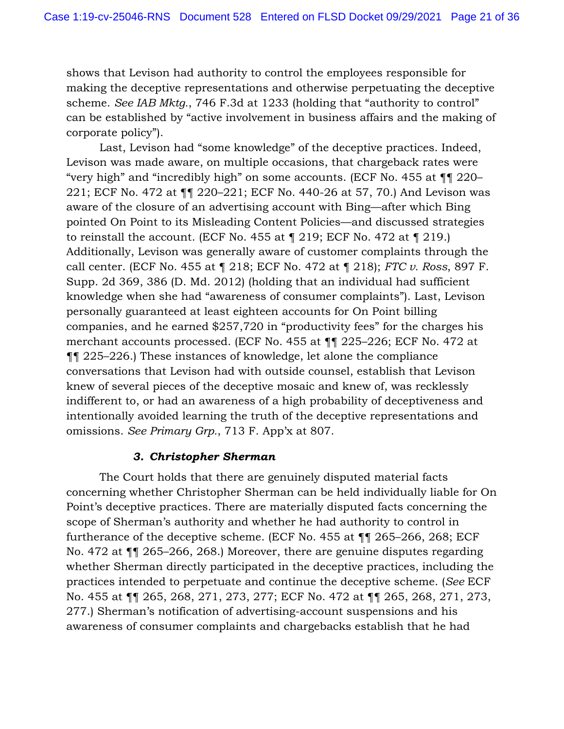shows that Levison had authority to control the employees responsible for making the deceptive representations and otherwise perpetuating the deceptive scheme. *See IAB Mktg.*, 746 F.3d at 1233 (holding that "authority to control" can be established by "active involvement in business affairs and the making of corporate policy").

Last, Levison had "some knowledge" of the deceptive practices. Indeed, Levison was made aware, on multiple occasions, that chargeback rates were "very high" and "incredibly high" on some accounts. (ECF No. 455 at ¶¶ 220– 221; ECF No. 472 at ¶¶ 220–221; ECF No. 440-26 at 57, 70.) And Levison was aware of the closure of an advertising account with Bing—after which Bing pointed On Point to its Misleading Content Policies—and discussed strategies to reinstall the account. (ECF No. 455 at  $\S$  219; ECF No. 472 at  $\S$  219.) Additionally, Levison was generally aware of customer complaints through the call center. (ECF No. 455 at ¶ 218; ECF No. 472 at ¶ 218); *FTC v. Ross*, 897 F. Supp. 2d 369, 386 (D. Md. 2012) (holding that an individual had sufficient knowledge when she had "awareness of consumer complaints"). Last, Levison personally guaranteed at least eighteen accounts for On Point billing companies, and he earned \$257,720 in "productivity fees" for the charges his merchant accounts processed. (ECF No. 455 at ¶¶ 225–226; ECF No. 472 at ¶¶ 225–226.) These instances of knowledge, let alone the compliance conversations that Levison had with outside counsel, establish that Levison knew of several pieces of the deceptive mosaic and knew of, was recklessly indifferent to, or had an awareness of a high probability of deceptiveness and intentionally avoided learning the truth of the deceptive representations and omissions. *See Primary Grp.*, 713 F. App'x at 807.

### *3. Christopher Sherman*

The Court holds that there are genuinely disputed material facts concerning whether Christopher Sherman can be held individually liable for On Point's deceptive practices. There are materially disputed facts concerning the scope of Sherman's authority and whether he had authority to control in furtherance of the deceptive scheme. (ECF No. 455 at ¶¶ 265–266, 268; ECF No. 472 at ¶¶ 265–266, 268.) Moreover, there are genuine disputes regarding whether Sherman directly participated in the deceptive practices, including the practices intended to perpetuate and continue the deceptive scheme. (*See* ECF No. 455 at ¶¶ 265, 268, 271, 273, 277; ECF No. 472 at ¶¶ 265, 268, 271, 273, 277.) Sherman's notification of advertising-account suspensions and his awareness of consumer complaints and chargebacks establish that he had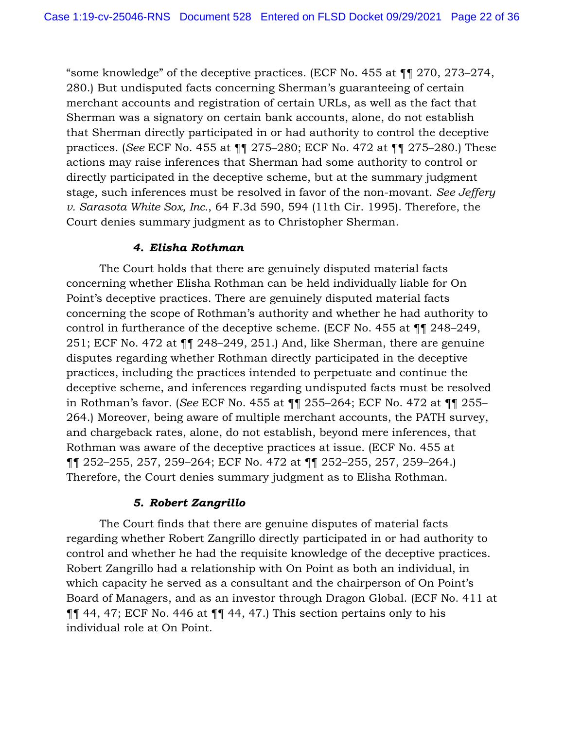"some knowledge" of the deceptive practices. (ECF No. 455 at ¶¶ 270, 273–274, 280.) But undisputed facts concerning Sherman's guaranteeing of certain merchant accounts and registration of certain URLs, as well as the fact that Sherman was a signatory on certain bank accounts, alone, do not establish that Sherman directly participated in or had authority to control the deceptive practices. (*See* ECF No. 455 at ¶¶ 275–280; ECF No. 472 at ¶¶ 275–280.) These actions may raise inferences that Sherman had some authority to control or directly participated in the deceptive scheme, but at the summary judgment stage, such inferences must be resolved in favor of the non-movant. *See Jeffery v. Sarasota White Sox, Inc.*, 64 F.3d 590, 594 (11th Cir. 1995). Therefore, the Court denies summary judgment as to Christopher Sherman.

## *4. Elisha Rothman*

The Court holds that there are genuinely disputed material facts concerning whether Elisha Rothman can be held individually liable for On Point's deceptive practices. There are genuinely disputed material facts concerning the scope of Rothman's authority and whether he had authority to control in furtherance of the deceptive scheme. (ECF No. 455 at ¶¶ 248–249, 251; ECF No. 472 at ¶¶ 248–249, 251.) And, like Sherman, there are genuine disputes regarding whether Rothman directly participated in the deceptive practices, including the practices intended to perpetuate and continue the deceptive scheme, and inferences regarding undisputed facts must be resolved in Rothman's favor. (*See* ECF No. 455 at ¶¶ 255–264; ECF No. 472 at ¶¶ 255– 264.) Moreover, being aware of multiple merchant accounts, the PATH survey, and chargeback rates, alone, do not establish, beyond mere inferences, that Rothman was aware of the deceptive practices at issue. (ECF No. 455 at ¶¶ 252–255, 257, 259–264; ECF No. 472 at ¶¶ 252–255, 257, 259–264.) Therefore, the Court denies summary judgment as to Elisha Rothman.

# *5. Robert Zangrillo*

The Court finds that there are genuine disputes of material facts regarding whether Robert Zangrillo directly participated in or had authority to control and whether he had the requisite knowledge of the deceptive practices. Robert Zangrillo had a relationship with On Point as both an individual, in which capacity he served as a consultant and the chairperson of On Point's Board of Managers, and as an investor through Dragon Global. (ECF No. 411 at  $\P\P$  44, 47; ECF No. 446 at  $\P\P$  44, 47.) This section pertains only to his individual role at On Point.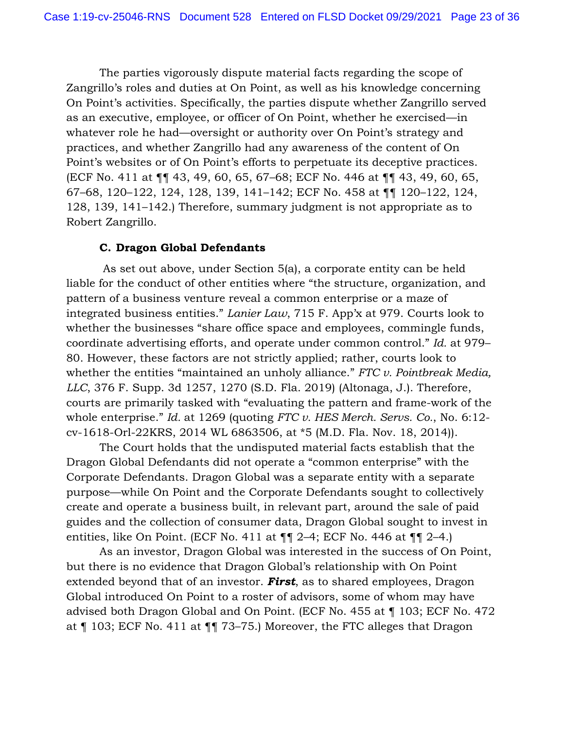The parties vigorously dispute material facts regarding the scope of Zangrillo's roles and duties at On Point, as well as his knowledge concerning On Point's activities. Specifically, the parties dispute whether Zangrillo served as an executive, employee, or officer of On Point, whether he exercised—in whatever role he had—oversight or authority over On Point's strategy and practices, and whether Zangrillo had any awareness of the content of On Point's websites or of On Point's efforts to perpetuate its deceptive practices. (ECF No. 411 at ¶¶ 43, 49, 60, 65, 67–68; ECF No. 446 at ¶¶ 43, 49, 60, 65, 67–68, 120–122, 124, 128, 139, 141–142; ECF No. 458 at ¶¶ 120–122, 124, 128, 139, 141–142.) Therefore, summary judgment is not appropriate as to Robert Zangrillo.

### **C. Dragon Global Defendants**

As set out above, under Section 5(a), a corporate entity can be held liable for the conduct of other entities where "the structure, organization, and pattern of a business venture reveal a common enterprise or a maze of integrated business entities." *Lanier Law*, 715 F. App'x at 979. Courts look to whether the businesses "share office space and employees, commingle funds, coordinate advertising efforts, and operate under common control." *Id.* at 979– 80. However, these factors are not strictly applied; rather, courts look to whether the entities "maintained an unholy alliance." *FTC v. Pointbreak Media, LLC*, 376 F. Supp. 3d 1257, 1270 (S.D. Fla. 2019) (Altonaga, J.). Therefore, courts are primarily tasked with "evaluating the pattern and frame-work of the whole enterprise." *Id.* at 1269 (quoting *FTC v. HES Merch. Servs. Co.*, No. 6:12 cv-1618-Orl-22KRS, 2014 WL 6863506, at \*5 (M.D. Fla. Nov. 18, 2014)).

The Court holds that the undisputed material facts establish that the Dragon Global Defendants did not operate a "common enterprise" with the Corporate Defendants. Dragon Global was a separate entity with a separate purpose—while On Point and the Corporate Defendants sought to collectively create and operate a business built, in relevant part, around the sale of paid guides and the collection of consumer data, Dragon Global sought to invest in entities, like On Point. (ECF No. 411 at  $\P\P$  2–4; ECF No. 446 at  $\P\P$  2–4.)

As an investor, Dragon Global was interested in the success of On Point, but there is no evidence that Dragon Global's relationship with On Point extended beyond that of an investor. *First*, as to shared employees, Dragon Global introduced On Point to a roster of advisors, some of whom may have advised both Dragon Global and On Point. (ECF No. 455 at ¶ 103; ECF No. 472 at ¶ 103; ECF No. 411 at ¶¶ 73–75.) Moreover, the FTC alleges that Dragon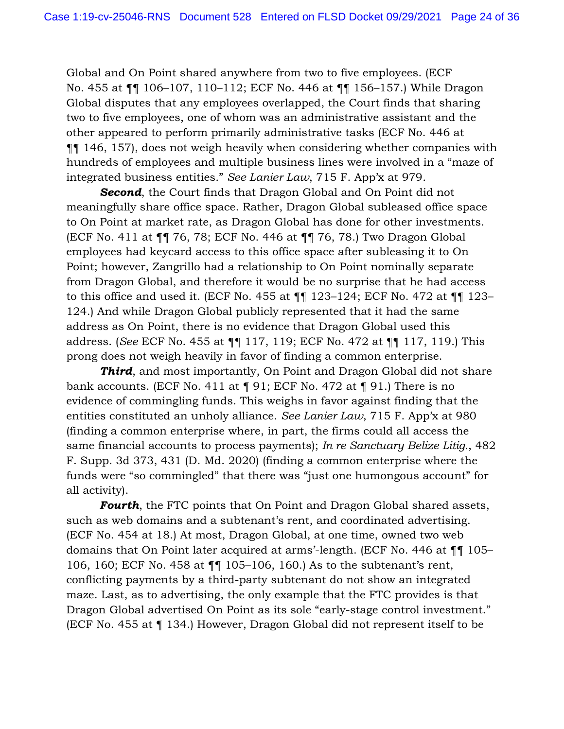Global and On Point shared anywhere from two to five employees. (ECF No. 455 at ¶¶ 106–107, 110–112; ECF No. 446 at ¶¶ 156–157.) While Dragon Global disputes that any employees overlapped, the Court finds that sharing two to five employees, one of whom was an administrative assistant and the other appeared to perform primarily administrative tasks (ECF No. 446 at ¶¶ 146, 157), does not weigh heavily when considering whether companies with hundreds of employees and multiple business lines were involved in a "maze of integrated business entities." *See Lanier Law*, 715 F. App'x at 979.

**Second**, the Court finds that Dragon Global and On Point did not meaningfully share office space. Rather, Dragon Global subleased office space to On Point at market rate, as Dragon Global has done for other investments. (ECF No. 411 at ¶¶ 76, 78; ECF No. 446 at ¶¶ 76, 78.) Two Dragon Global employees had keycard access to this office space after subleasing it to On Point; however, Zangrillo had a relationship to On Point nominally separate from Dragon Global, and therefore it would be no surprise that he had access to this office and used it. (ECF No. 455 at ¶¶ 123–124; ECF No. 472 at ¶¶ 123– 124.) And while Dragon Global publicly represented that it had the same address as On Point, there is no evidence that Dragon Global used this address. (*See* ECF No. 455 at ¶¶ 117, 119; ECF No. 472 at ¶¶ 117, 119.) This prong does not weigh heavily in favor of finding a common enterprise.

**Third**, and most importantly, On Point and Dragon Global did not share bank accounts. (ECF No. 411 at ¶ 91; ECF No. 472 at ¶ 91.) There is no evidence of commingling funds. This weighs in favor against finding that the entities constituted an unholy alliance. *See Lanier Law*, 715 F. App'x at 980 (finding a common enterprise where, in part, the firms could all access the same financial accounts to process payments); *In re Sanctuary Belize Litig.*, 482 F. Supp. 3d 373, 431 (D. Md. 2020) (finding a common enterprise where the funds were "so commingled" that there was "just one humongous account" for all activity).

*Fourth*, the FTC points that On Point and Dragon Global shared assets, such as web domains and a subtenant's rent, and coordinated advertising. (ECF No. 454 at 18.) At most, Dragon Global, at one time, owned two web domains that On Point later acquired at arms'-length. (ECF No. 446 at ¶¶ 105– 106, 160; ECF No. 458 at ¶¶ 105–106, 160.) As to the subtenant's rent, conflicting payments by a third-party subtenant do not show an integrated maze. Last, as to advertising, the only example that the FTC provides is that Dragon Global advertised On Point as its sole "early-stage control investment." (ECF No. 455 at ¶ 134.) However, Dragon Global did not represent itself to be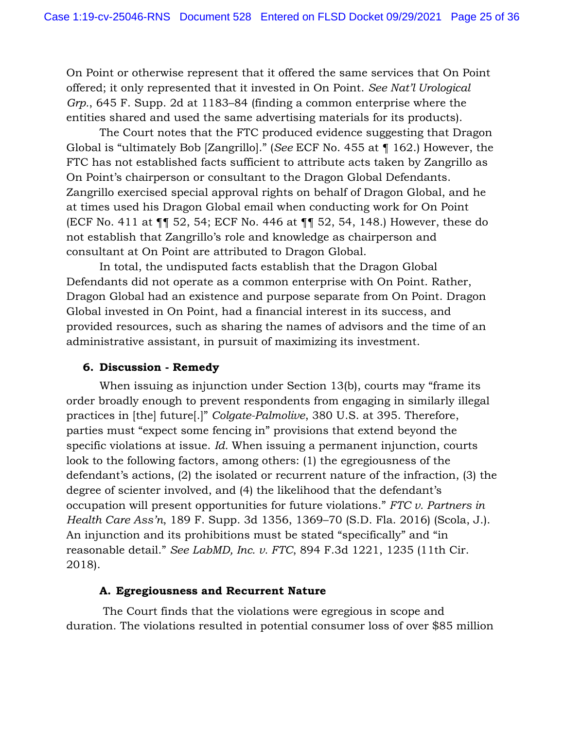On Point or otherwise represent that it offered the same services that On Point offered; it only represented that it invested in On Point. *See Nat'l Urological Grp.*, 645 F. Supp. 2d at 1183–84 (finding a common enterprise where the entities shared and used the same advertising materials for its products).

The Court notes that the FTC produced evidence suggesting that Dragon Global is "ultimately Bob [Zangrillo]." (*See* ECF No. 455 at ¶ 162.) However, the FTC has not established facts sufficient to attribute acts taken by Zangrillo as On Point's chairperson or consultant to the Dragon Global Defendants. Zangrillo exercised special approval rights on behalf of Dragon Global, and he at times used his Dragon Global email when conducting work for On Point (ECF No. 411 at ¶¶ 52, 54; ECF No. 446 at ¶¶ 52, 54, 148.) However, these do not establish that Zangrillo's role and knowledge as chairperson and consultant at On Point are attributed to Dragon Global.

In total, the undisputed facts establish that the Dragon Global Defendants did not operate as a common enterprise with On Point. Rather, Dragon Global had an existence and purpose separate from On Point. Dragon Global invested in On Point, had a financial interest in its success, and provided resources, such as sharing the names of advisors and the time of an administrative assistant, in pursuit of maximizing its investment.

## **6. Discussion - Remedy**

When issuing as injunction under Section 13(b), courts may "frame its order broadly enough to prevent respondents from engaging in similarly illegal practices in [the] future[.]" *Colgate-Palmolive*, 380 U.S. at 395. Therefore, parties must "expect some fencing in" provisions that extend beyond the specific violations at issue. *Id.* When issuing a permanent injunction, courts look to the following factors, among others: (1) the egregiousness of the defendant's actions, (2) the isolated or recurrent nature of the infraction, (3) the degree of scienter involved, and (4) the likelihood that the defendant's occupation will present opportunities for future violations." *FTC v. Partners in Health Care Ass'n*, 189 F. Supp. 3d 1356, 1369–70 (S.D. Fla. 2016) (Scola, J.). An injunction and its prohibitions must be stated "specifically" and "in reasonable detail." *See LabMD, Inc. v. FTC*, 894 F.3d 1221, 1235 (11th Cir. 2018).

### **A. Egregiousness and Recurrent Nature**

The Court finds that the violations were egregious in scope and duration. The violations resulted in potential consumer loss of over \$85 million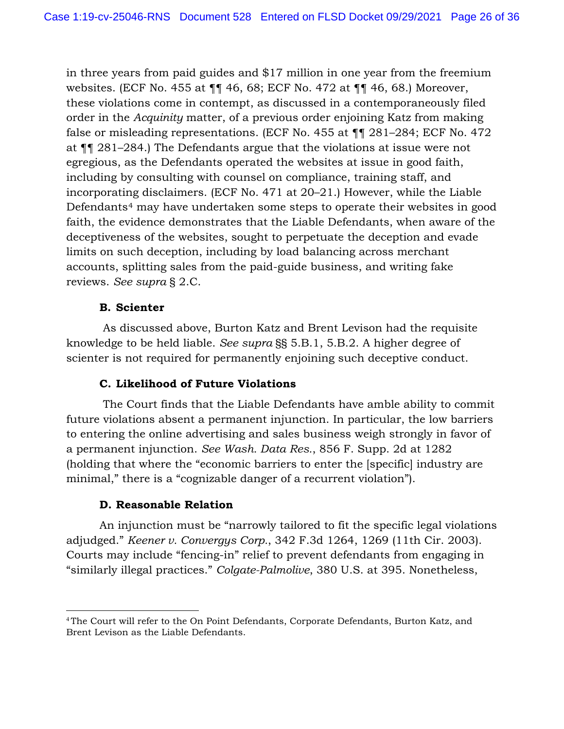in three years from paid guides and \$17 million in one year from the freemium websites. (ECF No. 455 at ¶¶ 46, 68; ECF No. 472 at ¶¶ 46, 68.) Moreover, these violations come in contempt, as discussed in a contemporaneously filed order in the *Acquinity* matter, of a previous order enjoining Katz from making false or misleading representations. (ECF No. 455 at ¶¶ 281–284; ECF No. 472 at ¶¶ 281–284.) The Defendants argue that the violations at issue were not egregious, as the Defendants operated the websites at issue in good faith, including by consulting with counsel on compliance, training staff, and incorporating disclaimers. (ECF No. 471 at 20–21.) However, while the Liable Defendants<sup>4</sup> may have undertaken some steps to operate their websites in good faith, the evidence demonstrates that the Liable Defendants, when aware of the deceptiveness of the websites, sought to perpetuate the deception and evade limits on such deception, including by load balancing across merchant accounts, splitting sales from the paid-guide business, and writing fake reviews. *See supra* § 2.C.

## **B. Scienter**

As discussed above, Burton Katz and Brent Levison had the requisite knowledge to be held liable. *See supra* §§ 5.B.1, 5.B.2. A higher degree of scienter is not required for permanently enjoining such deceptive conduct.

# **C. Likelihood of Future Violations**

The Court finds that the Liable Defendants have amble ability to commit future violations absent a permanent injunction. In particular, the low barriers to entering the online advertising and sales business weigh strongly in favor of a permanent injunction. *See Wash. Data Res.*, 856 F. Supp. 2d at 1282 (holding that where the "economic barriers to enter the [specific] industry are minimal," there is a "cognizable danger of a recurrent violation").

### **D. Reasonable Relation**

An injunction must be "narrowly tailored to fit the specific legal violations adjudged." *Keener v. Convergys Corp.*, 342 F.3d 1264, 1269 (11th Cir. 2003). Courts may include "fencing-in" relief to prevent defendants from engaging in "similarly illegal practices." *Colgate-Palmolive*, 380 U.S. at 395. Nonetheless,

<sup>4</sup> The Court will refer to the On Point Defendants, Corporate Defendants, Burton Katz, and Brent Levison as the Liable Defendants.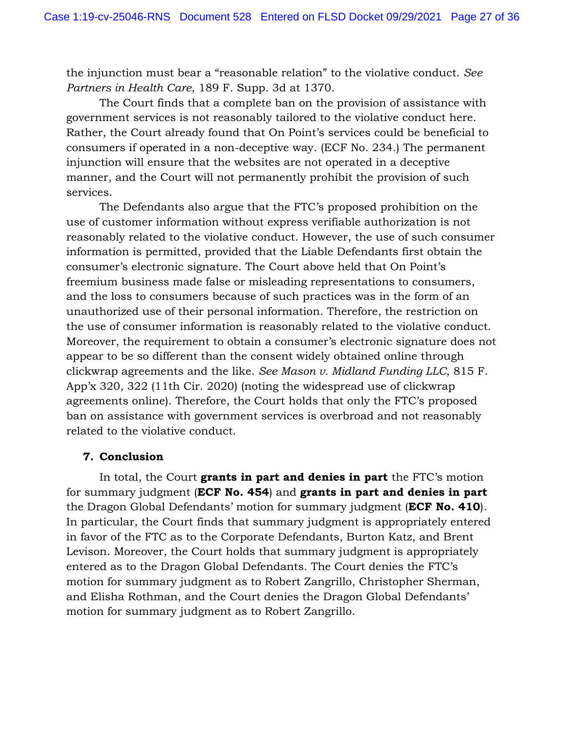the injunction must bear a "reasonable relation" to the violative conduct. *See Partners in Health Care*, 189 F. Supp. 3d at 1370.

The Court finds that a complete ban on the provision of assistance with government services is not reasonably tailored to the violative conduct here. Rather, the Court already found that On Point's services could be beneficial to consumers if operated in a non-deceptive way. (ECF No. 234.) The permanent injunction will ensure that the websites are not operated in a deceptive manner, and the Court will not permanently prohibit the provision of such services.

The Defendants also argue that the FTC's proposed prohibition on the use of customer information without express verifiable authorization is not reasonably related to the violative conduct. However, the use of such consumer information is permitted, provided that the Liable Defendants first obtain the consumer's electronic signature. The Court above held that On Point's freemium business made false or misleading representations to consumers, and the loss to consumers because of such practices was in the form of an unauthorized use of their personal information. Therefore, the restriction on the use of consumer information is reasonably related to the violative conduct. Moreover, the requirement to obtain a consumer's electronic signature does not appear to be so different than the consent widely obtained online through clickwrap agreements and the like. *See Mason v. Midland Funding LLC*, 815 F. App'x 320, 322 (11th Cir. 2020) (noting the widespread use of clickwrap agreements online). Therefore, the Court holds that only the FTC's proposed ban on assistance with government services is overbroad and not reasonably related to the violative conduct.

# **7. Conclusion**

In total, the Court **grants in part and denies in part** the FTC's motion for summary judgment (**ECF No. 454**) and **grants in part and denies in part** the Dragon Global Defendants' motion for summary judgment (**ECF No. 410**). In particular, the Court finds that summary judgment is appropriately entered in favor of the FTC as to the Corporate Defendants, Burton Katz, and Brent Levison. Moreover, the Court holds that summary judgment is appropriately entered as to the Dragon Global Defendants. The Court denies the FTC's motion for summary judgment as to Robert Zangrillo, Christopher Sherman, and Elisha Rothman, and the Court denies the Dragon Global Defendants' motion for summary judgment as to Robert Zangrillo.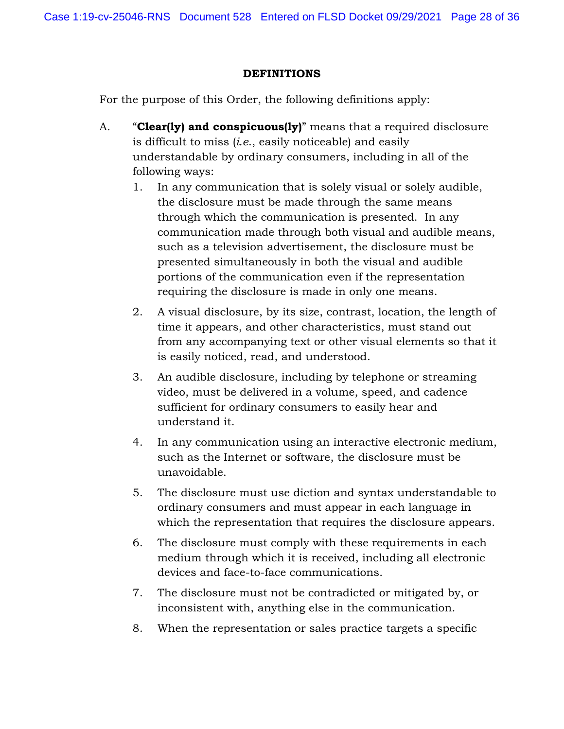## **DEFINITIONS**

For the purpose of this Order, the following definitions apply:

- A. "**Clear(ly) and conspicuous(ly)**" means that a required disclosure is difficult to miss (*i.e*., easily noticeable) and easily understandable by ordinary consumers, including in all of the following ways:
	- 1. In any communication that is solely visual or solely audible, the disclosure must be made through the same means through which the communication is presented. In any communication made through both visual and audible means, such as a television advertisement, the disclosure must be presented simultaneously in both the visual and audible portions of the communication even if the representation requiring the disclosure is made in only one means.
	- 2. A visual disclosure, by its size, contrast, location, the length of time it appears, and other characteristics, must stand out from any accompanying text or other visual elements so that it is easily noticed, read, and understood.
	- 3. An audible disclosure, including by telephone or streaming video, must be delivered in a volume, speed, and cadence sufficient for ordinary consumers to easily hear and understand it.
	- 4. In any communication using an interactive electronic medium, such as the Internet or software, the disclosure must be unavoidable.
	- 5. The disclosure must use diction and syntax understandable to ordinary consumers and must appear in each language in which the representation that requires the disclosure appears.
	- 6. The disclosure must comply with these requirements in each medium through which it is received, including all electronic devices and face-to-face communications.
	- 7. The disclosure must not be contradicted or mitigated by, or inconsistent with, anything else in the communication.
	- 8. When the representation or sales practice targets a specific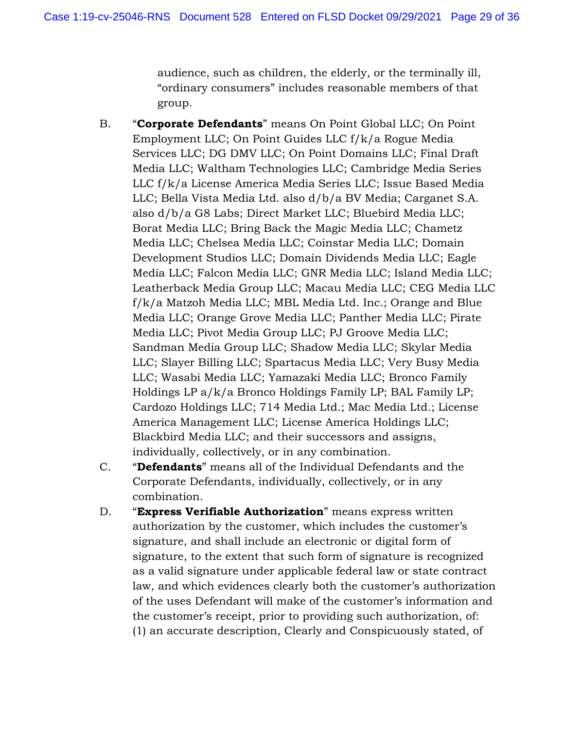audience, such as children, the elderly, or the terminally ill, "ordinary consumers" includes reasonable members of that group.

- B. "**Corporate Defendants**" means On Point Global LLC; On Point Employment LLC; On Point Guides LLC f/k/a Rogue Media Services LLC; DG DMV LLC; On Point Domains LLC; Final Draft Media LLC; Waltham Technologies LLC; Cambridge Media Series LLC f/k/a License America Media Series LLC; Issue Based Media LLC; Bella Vista Media Ltd. also d/b/a BV Media; Carganet S.A. also d/b/a G8 Labs; Direct Market LLC; Bluebird Media LLC; Borat Media LLC; Bring Back the Magic Media LLC; Chametz Media LLC; Chelsea Media LLC; Coinstar Media LLC; Domain Development Studios LLC; Domain Dividends Media LLC; Eagle Media LLC; Falcon Media LLC; GNR Media LLC; Island Media LLC; Leatherback Media Group LLC; Macau Media LLC; CEG Media LLC f/k/a Matzoh Media LLC; MBL Media Ltd. Inc.; Orange and Blue Media LLC; Orange Grove Media LLC; Panther Media LLC; Pirate Media LLC; Pivot Media Group LLC; PJ Groove Media LLC; Sandman Media Group LLC; Shadow Media LLC; Skylar Media LLC; Slayer Billing LLC; Spartacus Media LLC; Very Busy Media LLC; Wasabi Media LLC; Yamazaki Media LLC; Bronco Family Holdings LP a/k/a Bronco Holdings Family LP; BAL Family LP; Cardozo Holdings LLC; 714 Media Ltd.; Mac Media Ltd.; License America Management LLC; License America Holdings LLC; Blackbird Media LLC; and their successors and assigns, individually, collectively, or in any combination.
- C. "**Defendants**" means all of the Individual Defendants and the Corporate Defendants, individually, collectively, or in any combination.
- D. "**Express Verifiable Authorization**" means express written authorization by the customer, which includes the customer's signature, and shall include an electronic or digital form of signature, to the extent that such form of signature is recognized as a valid signature under applicable federal law or state contract law, and which evidences clearly both the customer's authorization of the uses Defendant will make of the customer's information and the customer's receipt, prior to providing such authorization, of: (1) an accurate description, Clearly and Conspicuously stated, of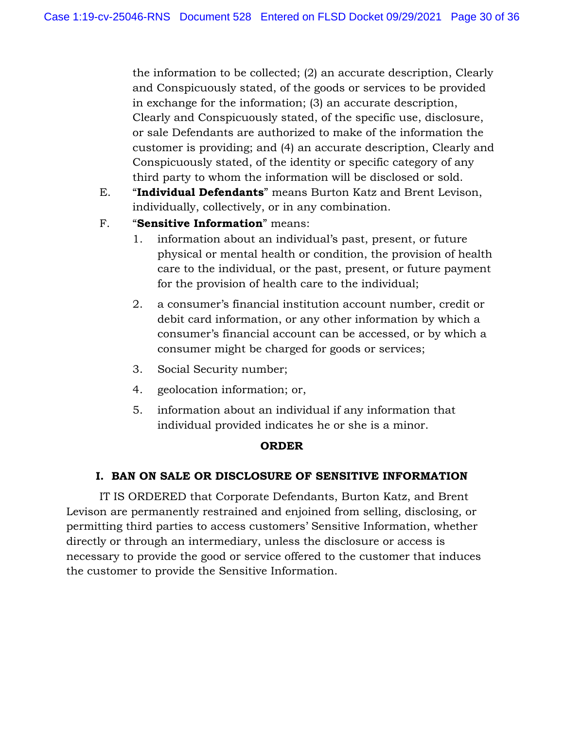the information to be collected; (2) an accurate description, Clearly and Conspicuously stated, of the goods or services to be provided in exchange for the information; (3) an accurate description, Clearly and Conspicuously stated, of the specific use, disclosure, or sale Defendants are authorized to make of the information the customer is providing; and (4) an accurate description, Clearly and Conspicuously stated, of the identity or specific category of any third party to whom the information will be disclosed or sold.

- E. "**Individual Defendants**" means Burton Katz and Brent Levison, individually, collectively, or in any combination.
- F. "**Sensitive Information**" means:
	- 1. information about an individual's past, present, or future physical or mental health or condition, the provision of health care to the individual, or the past, present, or future payment for the provision of health care to the individual;
	- 2. a consumer's financial institution account number, credit or debit card information, or any other information by which a consumer's financial account can be accessed, or by which a consumer might be charged for goods or services;
	- 3. Social Security number;
	- 4. geolocation information; or,
	- 5. information about an individual if any information that individual provided indicates he or she is a minor.

# **ORDER**

# **I. BAN ON SALE OR DISCLOSURE OF SENSITIVE INFORMATION**

IT IS ORDERED that Corporate Defendants, Burton Katz, and Brent Levison are permanently restrained and enjoined from selling, disclosing, or permitting third parties to access customers' Sensitive Information, whether directly or through an intermediary, unless the disclosure or access is necessary to provide the good or service offered to the customer that induces the customer to provide the Sensitive Information.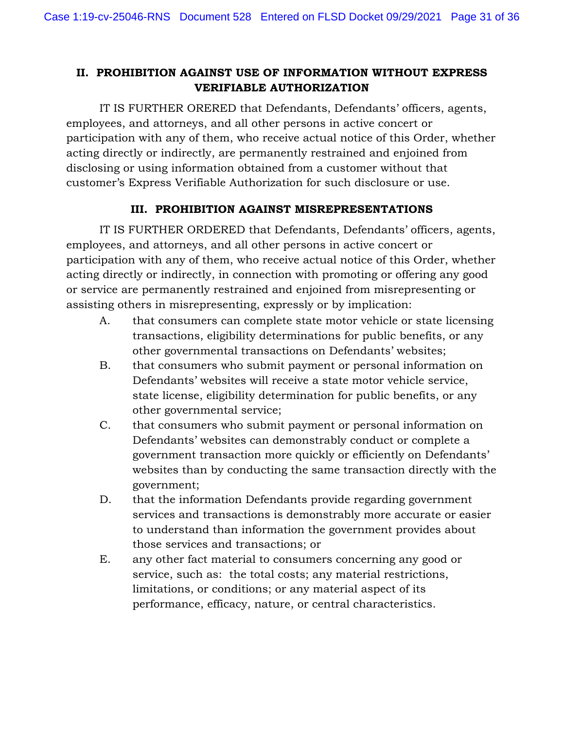# **II. PROHIBITION AGAINST USE OF INFORMATION WITHOUT EXPRESS VERIFIABLE AUTHORIZATION**

IT IS FURTHER ORERED that Defendants, Defendants' officers, agents, employees, and attorneys, and all other persons in active concert or participation with any of them, who receive actual notice of this Order, whether acting directly or indirectly, are permanently restrained and enjoined from disclosing or using information obtained from a customer without that customer's Express Verifiable Authorization for such disclosure or use.

# **III. PROHIBITION AGAINST MISREPRESENTATIONS**

IT IS FURTHER ORDERED that Defendants, Defendants' officers, agents, employees, and attorneys, and all other persons in active concert or participation with any of them, who receive actual notice of this Order, whether acting directly or indirectly, in connection with promoting or offering any good or service are permanently restrained and enjoined from misrepresenting or assisting others in misrepresenting, expressly or by implication:

- A. that consumers can complete state motor vehicle or state licensing transactions, eligibility determinations for public benefits, or any other governmental transactions on Defendants' websites;
- B. that consumers who submit payment or personal information on Defendants' websites will receive a state motor vehicle service, state license, eligibility determination for public benefits, or any other governmental service;
- C. that consumers who submit payment or personal information on Defendants' websites can demonstrably conduct or complete a government transaction more quickly or efficiently on Defendants' websites than by conducting the same transaction directly with the government;
- D. that the information Defendants provide regarding government services and transactions is demonstrably more accurate or easier to understand than information the government provides about those services and transactions; or
- E. any other fact material to consumers concerning any good or service, such as: the total costs; any material restrictions, limitations, or conditions; or any material aspect of its performance, efficacy, nature, or central characteristics.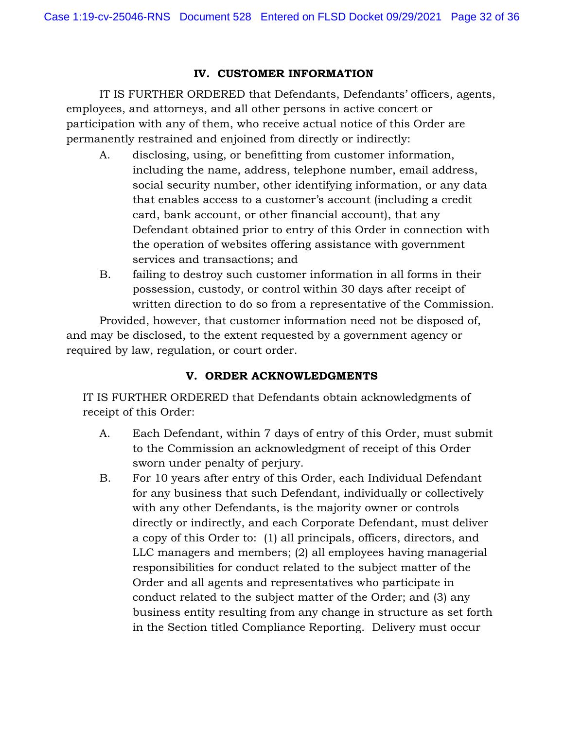## **IV. CUSTOMER INFORMATION**

IT IS FURTHER ORDERED that Defendants, Defendants' officers, agents, employees, and attorneys, and all other persons in active concert or participation with any of them, who receive actual notice of this Order are permanently restrained and enjoined from directly or indirectly:

- A. disclosing, using, or benefitting from customer information, including the name, address, telephone number, email address, social security number, other identifying information, or any data that enables access to a customer's account (including a credit card, bank account, or other financial account), that any Defendant obtained prior to entry of this Order in connection with the operation of websites offering assistance with government services and transactions; and
- B. failing to destroy such customer information in all forms in their possession, custody, or control within 30 days after receipt of written direction to do so from a representative of the Commission.

Provided, however, that customer information need not be disposed of, and may be disclosed, to the extent requested by a government agency or required by law, regulation, or court order.

# **V. ORDER ACKNOWLEDGMENTS**

IT IS FURTHER ORDERED that Defendants obtain acknowledgments of receipt of this Order:

- A. Each Defendant, within 7 days of entry of this Order, must submit to the Commission an acknowledgment of receipt of this Order sworn under penalty of perjury.
- B. For 10 years after entry of this Order, each Individual Defendant for any business that such Defendant, individually or collectively with any other Defendants, is the majority owner or controls directly or indirectly, and each Corporate Defendant, must deliver a copy of this Order to: (1) all principals, officers, directors, and LLC managers and members; (2) all employees having managerial responsibilities for conduct related to the subject matter of the Order and all agents and representatives who participate in conduct related to the subject matter of the Order; and (3) any business entity resulting from any change in structure as set forth in the Section titled Compliance Reporting. Delivery must occur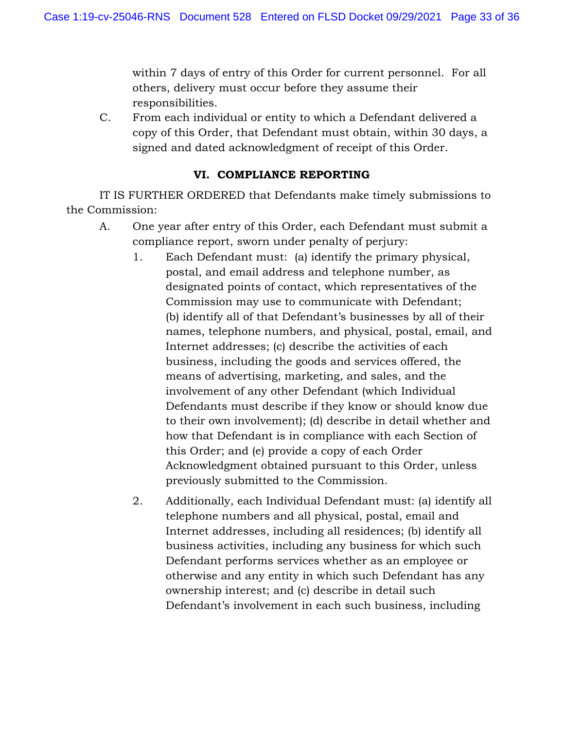within 7 days of entry of this Order for current personnel. For all others, delivery must occur before they assume their responsibilities.

C. From each individual or entity to which a Defendant delivered a copy of this Order, that Defendant must obtain, within 30 days, a signed and dated acknowledgment of receipt of this Order.

## **VI. COMPLIANCE REPORTING**

IT IS FURTHER ORDERED that Defendants make timely submissions to the Commission:

- A. One year after entry of this Order, each Defendant must submit a compliance report, sworn under penalty of perjury:
	- 1. Each Defendant must: (a) identify the primary physical, postal, and email address and telephone number, as designated points of contact, which representatives of the Commission may use to communicate with Defendant; (b) identify all of that Defendant's businesses by all of their names, telephone numbers, and physical, postal, email, and Internet addresses; (c) describe the activities of each business, including the goods and services offered, the means of advertising, marketing, and sales, and the involvement of any other Defendant (which Individual Defendants must describe if they know or should know due to their own involvement); (d) describe in detail whether and how that Defendant is in compliance with each Section of this Order; and (e) provide a copy of each Order Acknowledgment obtained pursuant to this Order, unless previously submitted to the Commission.
	- 2. Additionally, each Individual Defendant must: (a) identify all telephone numbers and all physical, postal, email and Internet addresses, including all residences; (b) identify all business activities, including any business for which such Defendant performs services whether as an employee or otherwise and any entity in which such Defendant has any ownership interest; and (c) describe in detail such Defendant's involvement in each such business, including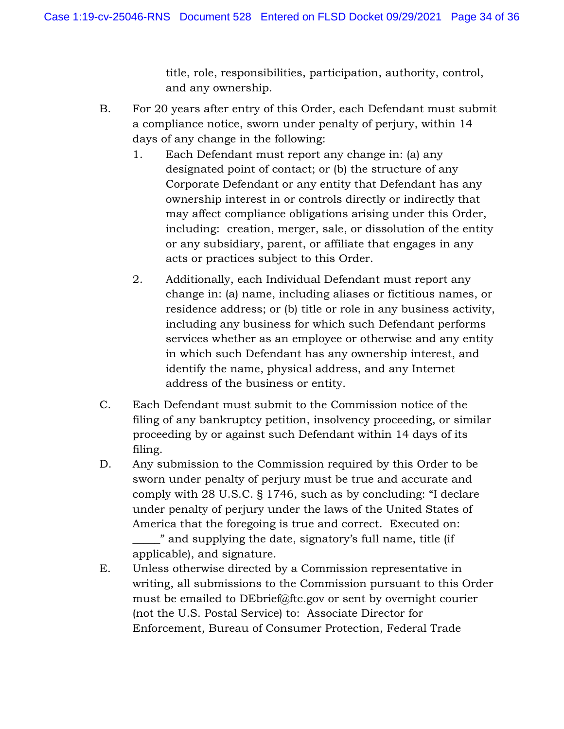title, role, responsibilities, participation, authority, control, and any ownership.

- B. For 20 years after entry of this Order, each Defendant must submit a compliance notice, sworn under penalty of perjury, within 14 days of any change in the following:
	- 1. Each Defendant must report any change in: (a) any designated point of contact; or (b) the structure of any Corporate Defendant or any entity that Defendant has any ownership interest in or controls directly or indirectly that may affect compliance obligations arising under this Order, including: creation, merger, sale, or dissolution of the entity or any subsidiary, parent, or affiliate that engages in any acts or practices subject to this Order.
	- 2. Additionally, each Individual Defendant must report any change in: (a) name, including aliases or fictitious names, or residence address; or (b) title or role in any business activity, including any business for which such Defendant performs services whether as an employee or otherwise and any entity in which such Defendant has any ownership interest, and identify the name, physical address, and any Internet address of the business or entity.
- C. Each Defendant must submit to the Commission notice of the filing of any bankruptcy petition, insolvency proceeding, or similar proceeding by or against such Defendant within 14 days of its filing.
- D. Any submission to the Commission required by this Order to be sworn under penalty of perjury must be true and accurate and comply with 28 U.S.C. § 1746, such as by concluding: "I declare under penalty of perjury under the laws of the United States of America that the foregoing is true and correct. Executed on: \_\_\_\_\_" and supplying the date, signatory's full name, title (if applicable), and signature.
- E. Unless otherwise directed by a Commission representative in writing, all submissions to the Commission pursuant to this Order must be emailed to DEbrief@ftc.gov or sent by overnight courier (not the U.S. Postal Service) to: Associate Director for Enforcement, Bureau of Consumer Protection, Federal Trade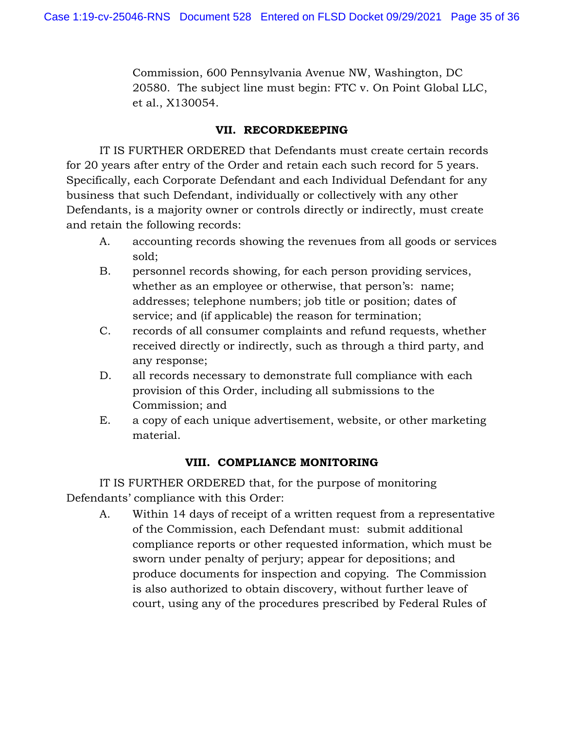Commission, 600 Pennsylvania Avenue NW, Washington, DC 20580. The subject line must begin: FTC v. On Point Global LLC, et al., X130054.

# **VII. RECORDKEEPING**

IT IS FURTHER ORDERED that Defendants must create certain records for 20 years after entry of the Order and retain each such record for 5 years. Specifically, each Corporate Defendant and each Individual Defendant for any business that such Defendant, individually or collectively with any other Defendants, is a majority owner or controls directly or indirectly, must create and retain the following records:

- A. accounting records showing the revenues from all goods or services sold;
- B. personnel records showing, for each person providing services, whether as an employee or otherwise, that person's: name; addresses; telephone numbers; job title or position; dates of service; and (if applicable) the reason for termination;
- C. records of all consumer complaints and refund requests, whether received directly or indirectly, such as through a third party, and any response;
- D. all records necessary to demonstrate full compliance with each provision of this Order, including all submissions to the Commission; and
- E. a copy of each unique advertisement, website, or other marketing material.

# **VIII. COMPLIANCE MONITORING**

IT IS FURTHER ORDERED that, for the purpose of monitoring Defendants' compliance with this Order:

A. Within 14 days of receipt of a written request from a representative of the Commission, each Defendant must: submit additional compliance reports or other requested information, which must be sworn under penalty of perjury; appear for depositions; and produce documents for inspection and copying. The Commission is also authorized to obtain discovery, without further leave of court, using any of the procedures prescribed by Federal Rules of